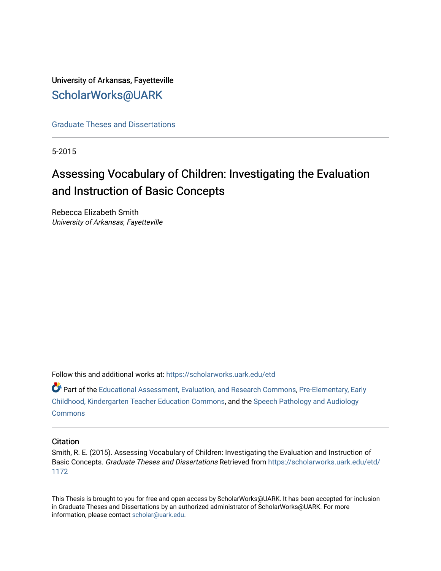## University of Arkansas, Fayetteville [ScholarWorks@UARK](https://scholarworks.uark.edu/)

[Graduate Theses and Dissertations](https://scholarworks.uark.edu/etd) 

5-2015

# Assessing Vocabulary of Children: Investigating the Evaluation and Instruction of Basic Concepts

Rebecca Elizabeth Smith University of Arkansas, Fayetteville

Follow this and additional works at: [https://scholarworks.uark.edu/etd](https://scholarworks.uark.edu/etd?utm_source=scholarworks.uark.edu%2Fetd%2F1172&utm_medium=PDF&utm_campaign=PDFCoverPages)

Part of the [Educational Assessment, Evaluation, and Research Commons](http://network.bepress.com/hgg/discipline/796?utm_source=scholarworks.uark.edu%2Fetd%2F1172&utm_medium=PDF&utm_campaign=PDFCoverPages), [Pre-Elementary, Early](http://network.bepress.com/hgg/discipline/808?utm_source=scholarworks.uark.edu%2Fetd%2F1172&utm_medium=PDF&utm_campaign=PDFCoverPages)  [Childhood, Kindergarten Teacher Education Commons](http://network.bepress.com/hgg/discipline/808?utm_source=scholarworks.uark.edu%2Fetd%2F1172&utm_medium=PDF&utm_campaign=PDFCoverPages), and the [Speech Pathology and Audiology](http://network.bepress.com/hgg/discipline/1035?utm_source=scholarworks.uark.edu%2Fetd%2F1172&utm_medium=PDF&utm_campaign=PDFCoverPages) **[Commons](http://network.bepress.com/hgg/discipline/1035?utm_source=scholarworks.uark.edu%2Fetd%2F1172&utm_medium=PDF&utm_campaign=PDFCoverPages)** 

## **Citation**

Smith, R. E. (2015). Assessing Vocabulary of Children: Investigating the Evaluation and Instruction of Basic Concepts. Graduate Theses and Dissertations Retrieved from [https://scholarworks.uark.edu/etd/](https://scholarworks.uark.edu/etd/1172?utm_source=scholarworks.uark.edu%2Fetd%2F1172&utm_medium=PDF&utm_campaign=PDFCoverPages) [1172](https://scholarworks.uark.edu/etd/1172?utm_source=scholarworks.uark.edu%2Fetd%2F1172&utm_medium=PDF&utm_campaign=PDFCoverPages)

This Thesis is brought to you for free and open access by ScholarWorks@UARK. It has been accepted for inclusion in Graduate Theses and Dissertations by an authorized administrator of ScholarWorks@UARK. For more information, please contact [scholar@uark.edu.](mailto:scholar@uark.edu)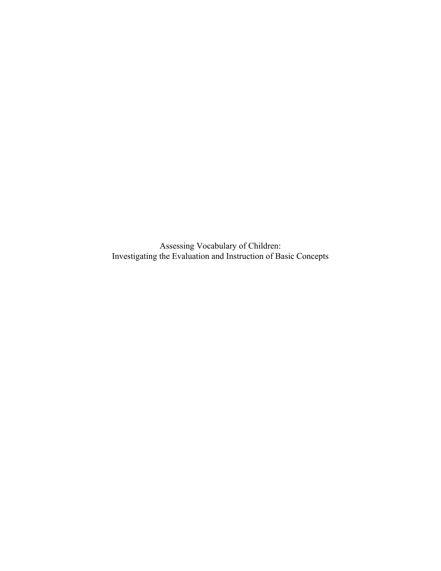Assessing Vocabulary of Children: Investigating the Evaluation and Instruction of Basic Concepts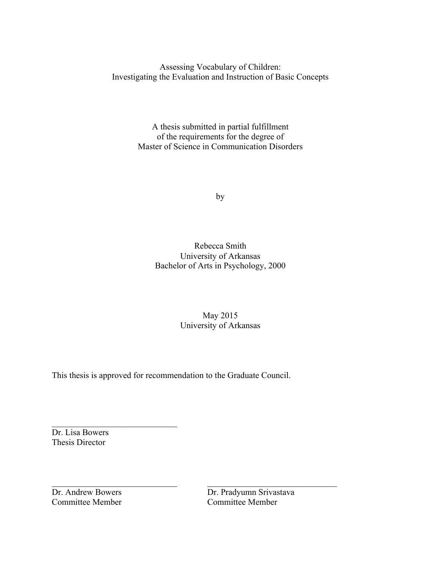Assessing Vocabulary of Children: Investigating the Evaluation and Instruction of Basic Concepts

> A thesis submitted in partial fulfillment of the requirements for the degree of Master of Science in Communication Disorders

> > by

Rebecca Smith University of Arkansas Bachelor of Arts in Psychology, 2000

> May 2015 University of Arkansas

This thesis is approved for recommendation to the Graduate Council.

 $\mathcal{L}_\text{max}$  , and the contribution of the contribution of  $\mathcal{L}_\text{max}$  , and the contribution of  $\mathcal{L}_\text{max}$ 

Dr. Lisa Bowers Thesis Director

 $\mathcal{L}_\text{max}$  , where  $\mathcal{L}_\text{max}$  , we have the set of  $\mathcal{L}_\text{max}$ 

Committee Member Committee Member

Dr. Andrew Bowers Dr. Pradyumn Srivastava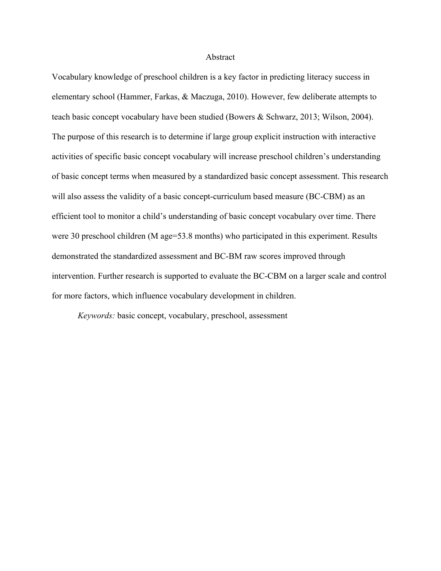#### Abstract

Vocabulary knowledge of preschool children is a key factor in predicting literacy success in elementary school (Hammer, Farkas, & Maczuga, 2010). However, few deliberate attempts to teach basic concept vocabulary have been studied (Bowers & Schwarz, 2013; Wilson, 2004). The purpose of this research is to determine if large group explicit instruction with interactive activities of specific basic concept vocabulary will increase preschool children's understanding of basic concept terms when measured by a standardized basic concept assessment. This research will also assess the validity of a basic concept-curriculum based measure (BC-CBM) as an efficient tool to monitor a child's understanding of basic concept vocabulary over time. There were 30 preschool children (M age=53.8 months) who participated in this experiment. Results demonstrated the standardized assessment and BC-BM raw scores improved through intervention. Further research is supported to evaluate the BC-CBM on a larger scale and control for more factors, which influence vocabulary development in children.

*Keywords:* basic concept, vocabulary, preschool, assessment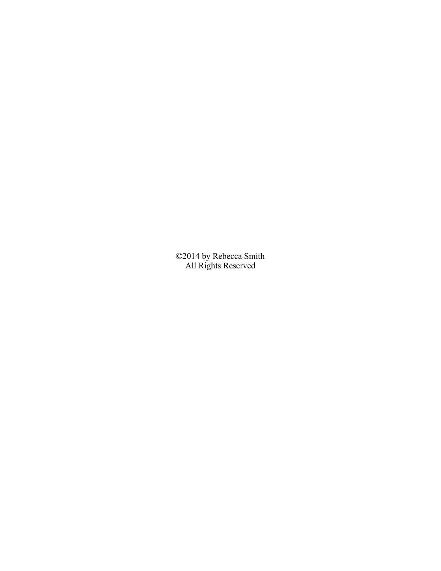©2014 by Rebecca Smith All Rights Reserved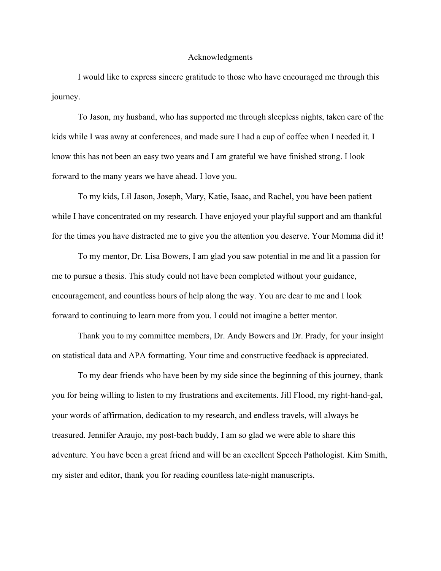#### Acknowledgments

I would like to express sincere gratitude to those who have encouraged me through this journey.

To Jason, my husband, who has supported me through sleepless nights, taken care of the kids while I was away at conferences, and made sure I had a cup of coffee when I needed it. I know this has not been an easy two years and I am grateful we have finished strong. I look forward to the many years we have ahead. I love you.

To my kids, Lil Jason, Joseph, Mary, Katie, Isaac, and Rachel, you have been patient while I have concentrated on my research. I have enjoyed your playful support and am thankful for the times you have distracted me to give you the attention you deserve. Your Momma did it!

To my mentor, Dr. Lisa Bowers, I am glad you saw potential in me and lit a passion for me to pursue a thesis. This study could not have been completed without your guidance, encouragement, and countless hours of help along the way. You are dear to me and I look forward to continuing to learn more from you. I could not imagine a better mentor.

Thank you to my committee members, Dr. Andy Bowers and Dr. Prady, for your insight on statistical data and APA formatting. Your time and constructive feedback is appreciated.

To my dear friends who have been by my side since the beginning of this journey, thank you for being willing to listen to my frustrations and excitements. Jill Flood, my right-hand-gal, your words of affirmation, dedication to my research, and endless travels, will always be treasured. Jennifer Araujo, my post-bach buddy, I am so glad we were able to share this adventure. You have been a great friend and will be an excellent Speech Pathologist. Kim Smith, my sister and editor, thank you for reading countless late-night manuscripts.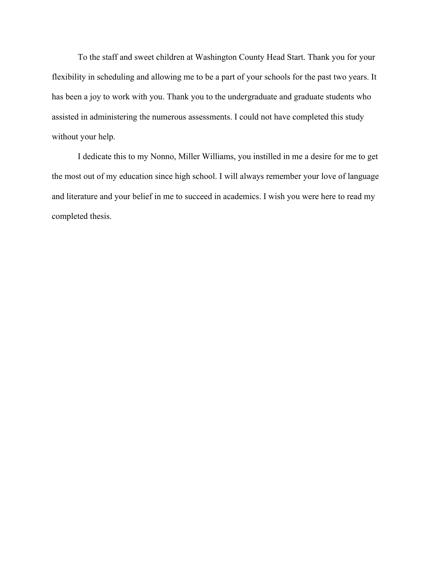To the staff and sweet children at Washington County Head Start. Thank you for your flexibility in scheduling and allowing me to be a part of your schools for the past two years. It has been a joy to work with you. Thank you to the undergraduate and graduate students who assisted in administering the numerous assessments. I could not have completed this study without your help.

I dedicate this to my Nonno, Miller Williams, you instilled in me a desire for me to get the most out of my education since high school. I will always remember your love of language and literature and your belief in me to succeed in academics. I wish you were here to read my completed thesis.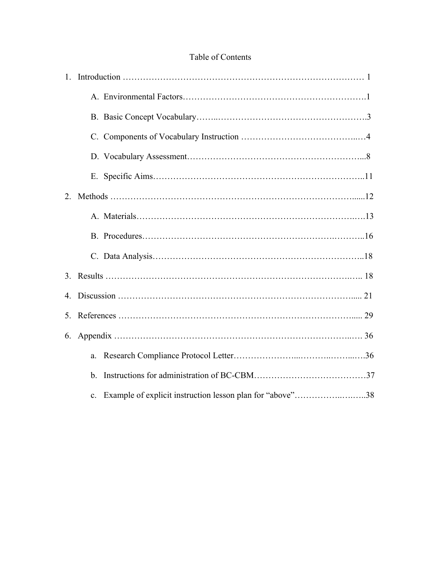## Table of Contents

| $1_{-}$ |                                                                             |  |
|---------|-----------------------------------------------------------------------------|--|
|         |                                                                             |  |
|         |                                                                             |  |
|         |                                                                             |  |
|         |                                                                             |  |
|         |                                                                             |  |
| 2.      |                                                                             |  |
|         |                                                                             |  |
|         |                                                                             |  |
|         |                                                                             |  |
|         |                                                                             |  |
|         |                                                                             |  |
|         |                                                                             |  |
| 6.      |                                                                             |  |
|         | a.                                                                          |  |
|         | $\mathbf b$ .                                                               |  |
|         | Example of explicit instruction lesson plan for "above"38<br>$\mathbf{c}$ . |  |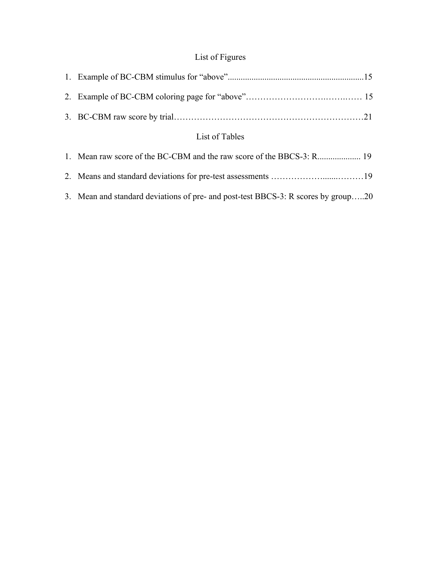## List of Figures

| List of Tables |  |  |
|----------------|--|--|
|                |  |  |
|                |  |  |
|                |  |  |

3. Mean and standard deviations of pre- and post-test BBCS-3: R scores by group…..20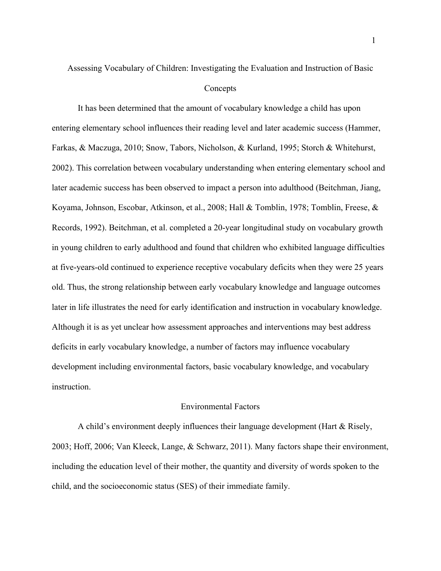# Assessing Vocabulary of Children: Investigating the Evaluation and Instruction of Basic **Concepts**

It has been determined that the amount of vocabulary knowledge a child has upon entering elementary school influences their reading level and later academic success (Hammer, Farkas, & Maczuga, 2010; Snow, Tabors, Nicholson, & Kurland, 1995; Storch & Whitehurst, 2002). This correlation between vocabulary understanding when entering elementary school and later academic success has been observed to impact a person into adulthood (Beitchman, Jiang, Koyama, Johnson, Escobar, Atkinson, et al., 2008; Hall & Tomblin, 1978; Tomblin, Freese, & Records, 1992). Beitchman, et al. completed a 20-year longitudinal study on vocabulary growth in young children to early adulthood and found that children who exhibited language difficulties at five-years-old continued to experience receptive vocabulary deficits when they were 25 years old. Thus, the strong relationship between early vocabulary knowledge and language outcomes later in life illustrates the need for early identification and instruction in vocabulary knowledge. Although it is as yet unclear how assessment approaches and interventions may best address deficits in early vocabulary knowledge, a number of factors may influence vocabulary development including environmental factors, basic vocabulary knowledge, and vocabulary instruction.

#### Environmental Factors

A child's environment deeply influences their language development (Hart & Risely, 2003; Hoff, 2006; Van Kleeck, Lange, & Schwarz, 2011). Many factors shape their environment, including the education level of their mother, the quantity and diversity of words spoken to the child, and the socioeconomic status (SES) of their immediate family.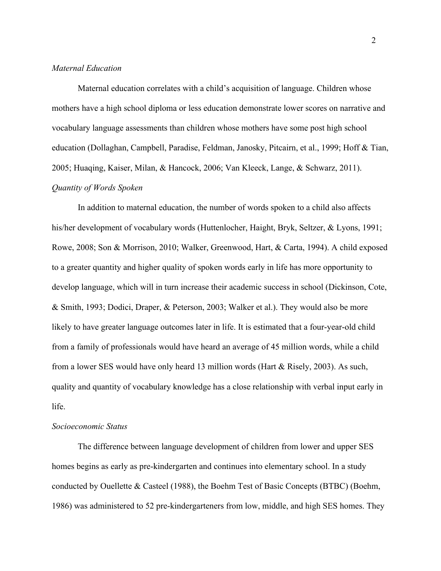## *Maternal Education*

Maternal education correlates with a child's acquisition of language. Children whose mothers have a high school diploma or less education demonstrate lower scores on narrative and vocabulary language assessments than children whose mothers have some post high school education (Dollaghan, Campbell, Paradise, Feldman, Janosky, Pitcairn, et al., 1999; Hoff & Tian, 2005; Huaqing, Kaiser, Milan, & Hancock, 2006; Van Kleeck, Lange, & Schwarz, 2011). *Quantity of Words Spoken*

In addition to maternal education, the number of words spoken to a child also affects his/her development of vocabulary words (Huttenlocher, Haight, Bryk, Seltzer, & Lyons, 1991; Rowe, 2008; Son & Morrison, 2010; Walker, Greenwood, Hart, & Carta, 1994). A child exposed to a greater quantity and higher quality of spoken words early in life has more opportunity to develop language, which will in turn increase their academic success in school (Dickinson, Cote, & Smith, 1993; Dodici, Draper, & Peterson, 2003; Walker et al.). They would also be more likely to have greater language outcomes later in life. It is estimated that a four-year-old child from a family of professionals would have heard an average of 45 million words, while a child from a lower SES would have only heard 13 million words (Hart & Risely, 2003). As such, quality and quantity of vocabulary knowledge has a close relationship with verbal input early in life.

## *Socioeconomic Status*

The difference between language development of children from lower and upper SES homes begins as early as pre-kindergarten and continues into elementary school. In a study conducted by Ouellette & Casteel (1988), the Boehm Test of Basic Concepts (BTBC) (Boehm, 1986) was administered to 52 pre-kindergarteners from low, middle, and high SES homes. They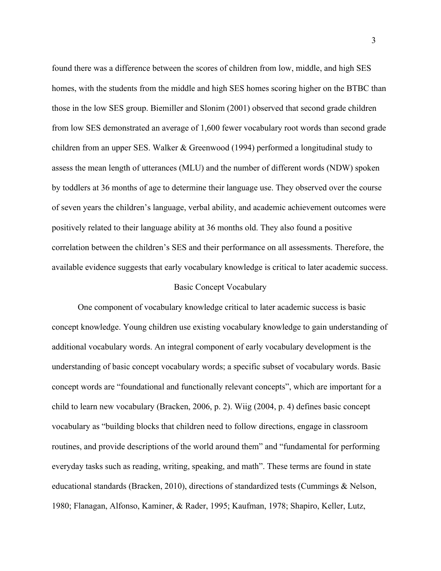found there was a difference between the scores of children from low, middle, and high SES homes, with the students from the middle and high SES homes scoring higher on the BTBC than those in the low SES group. Biemiller and Slonim (2001) observed that second grade children from low SES demonstrated an average of 1,600 fewer vocabulary root words than second grade children from an upper SES. Walker & Greenwood (1994) performed a longitudinal study to assess the mean length of utterances (MLU) and the number of different words (NDW) spoken by toddlers at 36 months of age to determine their language use. They observed over the course of seven years the children's language, verbal ability, and academic achievement outcomes were positively related to their language ability at 36 months old. They also found a positive correlation between the children's SES and their performance on all assessments. Therefore, the available evidence suggests that early vocabulary knowledge is critical to later academic success.

## Basic Concept Vocabulary

One component of vocabulary knowledge critical to later academic success is basic concept knowledge. Young children use existing vocabulary knowledge to gain understanding of additional vocabulary words. An integral component of early vocabulary development is the understanding of basic concept vocabulary words; a specific subset of vocabulary words. Basic concept words are "foundational and functionally relevant concepts", which are important for a child to learn new vocabulary (Bracken, 2006, p. 2). Wiig (2004, p. 4) defines basic concept vocabulary as "building blocks that children need to follow directions, engage in classroom routines, and provide descriptions of the world around them" and "fundamental for performing everyday tasks such as reading, writing, speaking, and math". These terms are found in state educational standards (Bracken, 2010), directions of standardized tests (Cummings & Nelson, 1980; Flanagan, Alfonso, Kaminer, & Rader, 1995; Kaufman, 1978; Shapiro, Keller, Lutz,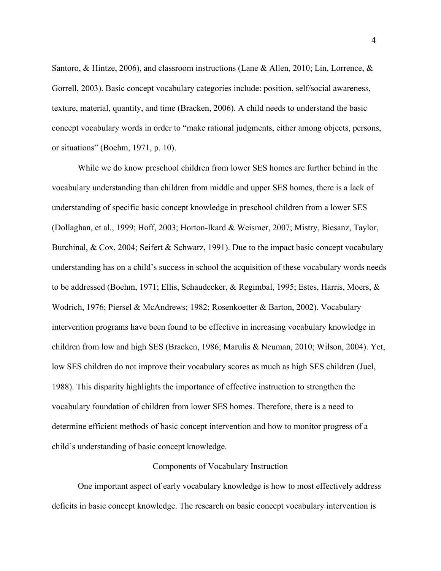Santoro, & Hintze, 2006), and classroom instructions (Lane & Allen, 2010; Lin, Lorrence, & Gorrell, 2003). Basic concept vocabulary categories include: position, self/social awareness, texture, material, quantity, and time (Bracken, 2006). A child needs to understand the basic concept vocabulary words in order to "make rational judgments, either among objects, persons, or situations" (Boehm, 1971, p. 10).

While we do know preschool children from lower SES homes are further behind in the vocabulary understanding than children from middle and upper SES homes, there is a lack of understanding of specific basic concept knowledge in preschool children from a lower SES (Dollaghan, et al., 1999; Hoff, 2003; Horton-Ikard & Weismer, 2007; Mistry, Biesanz, Taylor, Burchinal,  $\&$  Cox, 2004; Seifert  $\&$  Schwarz, 1991). Due to the impact basic concept vocabulary understanding has on a child's success in school the acquisition of these vocabulary words needs to be addressed (Boehm, 1971; Ellis, Schaudecker, & Regimbal, 1995; Estes, Harris, Moers, & Wodrich, 1976; Piersel & McAndrews; 1982; Rosenkoetter & Barton, 2002). Vocabulary intervention programs have been found to be effective in increasing vocabulary knowledge in children from low and high SES (Bracken, 1986; Marulis & Neuman, 2010; Wilson, 2004). Yet, low SES children do not improve their vocabulary scores as much as high SES children (Juel, 1988). This disparity highlights the importance of effective instruction to strengthen the vocabulary foundation of children from lower SES homes. Therefore, there is a need to determine efficient methods of basic concept intervention and how to monitor progress of a child's understanding of basic concept knowledge.

## Components of Vocabulary Instruction

One important aspect of early vocabulary knowledge is how to most effectively address deficits in basic concept knowledge. The research on basic concept vocabulary intervention is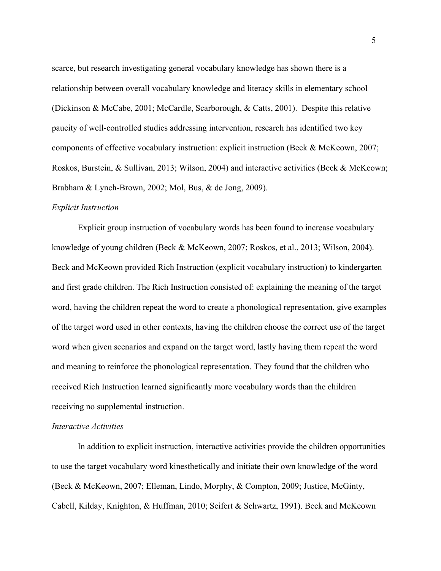scarce, but research investigating general vocabulary knowledge has shown there is a relationship between overall vocabulary knowledge and literacy skills in elementary school (Dickinson & McCabe, 2001; McCardle, Scarborough, & Catts, 2001). Despite this relative paucity of well-controlled studies addressing intervention, research has identified two key components of effective vocabulary instruction: explicit instruction (Beck & McKeown, 2007; Roskos, Burstein, & Sullivan, 2013; Wilson, 2004) and interactive activities (Beck & McKeown; Brabham & Lynch-Brown, 2002; Mol, Bus, & de Jong, 2009).

#### *Explicit Instruction*

Explicit group instruction of vocabulary words has been found to increase vocabulary knowledge of young children (Beck & McKeown, 2007; Roskos, et al., 2013; Wilson, 2004). Beck and McKeown provided Rich Instruction (explicit vocabulary instruction) to kindergarten and first grade children. The Rich Instruction consisted of: explaining the meaning of the target word, having the children repeat the word to create a phonological representation, give examples of the target word used in other contexts, having the children choose the correct use of the target word when given scenarios and expand on the target word, lastly having them repeat the word and meaning to reinforce the phonological representation. They found that the children who received Rich Instruction learned significantly more vocabulary words than the children receiving no supplemental instruction.

## *Interactive Activities*

In addition to explicit instruction, interactive activities provide the children opportunities to use the target vocabulary word kinesthetically and initiate their own knowledge of the word (Beck & McKeown, 2007; Elleman, Lindo, Morphy, & Compton, 2009; Justice, McGinty, Cabell, Kilday, Knighton, & Huffman, 2010; Seifert & Schwartz, 1991). Beck and McKeown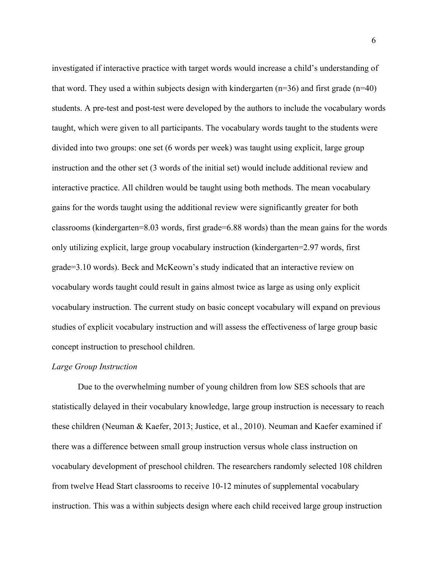investigated if interactive practice with target words would increase a child's understanding of that word. They used a within subjects design with kindergarten ( $n=36$ ) and first grade ( $n=40$ ) students. A pre-test and post-test were developed by the authors to include the vocabulary words taught, which were given to all participants. The vocabulary words taught to the students were divided into two groups: one set (6 words per week) was taught using explicit, large group instruction and the other set (3 words of the initial set) would include additional review and interactive practice. All children would be taught using both methods. The mean vocabulary gains for the words taught using the additional review were significantly greater for both classrooms (kindergarten=8.03 words, first grade=6.88 words) than the mean gains for the words only utilizing explicit, large group vocabulary instruction (kindergarten=2.97 words, first grade=3.10 words). Beck and McKeown's study indicated that an interactive review on vocabulary words taught could result in gains almost twice as large as using only explicit vocabulary instruction. The current study on basic concept vocabulary will expand on previous studies of explicit vocabulary instruction and will assess the effectiveness of large group basic concept instruction to preschool children.

## *Large Group Instruction*

Due to the overwhelming number of young children from low SES schools that are statistically delayed in their vocabulary knowledge, large group instruction is necessary to reach these children (Neuman & Kaefer, 2013; Justice, et al., 2010). Neuman and Kaefer examined if there was a difference between small group instruction versus whole class instruction on vocabulary development of preschool children. The researchers randomly selected 108 children from twelve Head Start classrooms to receive 10-12 minutes of supplemental vocabulary instruction. This was a within subjects design where each child received large group instruction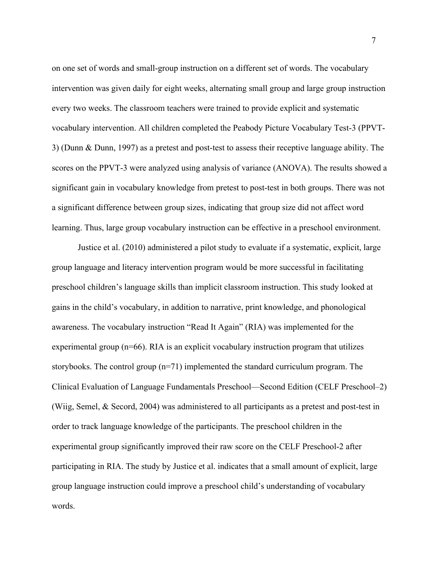on one set of words and small-group instruction on a different set of words. The vocabulary intervention was given daily for eight weeks, alternating small group and large group instruction every two weeks. The classroom teachers were trained to provide explicit and systematic vocabulary intervention. All children completed the Peabody Picture Vocabulary Test-3 (PPVT-3) (Dunn & Dunn, 1997) as a pretest and post-test to assess their receptive language ability. The scores on the PPVT-3 were analyzed using analysis of variance (ANOVA). The results showed a significant gain in vocabulary knowledge from pretest to post-test in both groups. There was not a significant difference between group sizes, indicating that group size did not affect word learning. Thus, large group vocabulary instruction can be effective in a preschool environment.

Justice et al. (2010) administered a pilot study to evaluate if a systematic, explicit, large group language and literacy intervention program would be more successful in facilitating preschool children's language skills than implicit classroom instruction. This study looked at gains in the child's vocabulary, in addition to narrative, print knowledge, and phonological awareness. The vocabulary instruction "Read It Again" (RIA) was implemented for the experimental group (n=66). RIA is an explicit vocabulary instruction program that utilizes storybooks. The control group (n=71) implemented the standard curriculum program. The Clinical Evaluation of Language Fundamentals Preschool—Second Edition (CELF Preschool–2) (Wiig, Semel, & Secord, 2004) was administered to all participants as a pretest and post-test in order to track language knowledge of the participants. The preschool children in the experimental group significantly improved their raw score on the CELF Preschool-2 after participating in RIA. The study by Justice et al. indicates that a small amount of explicit, large group language instruction could improve a preschool child's understanding of vocabulary words.

7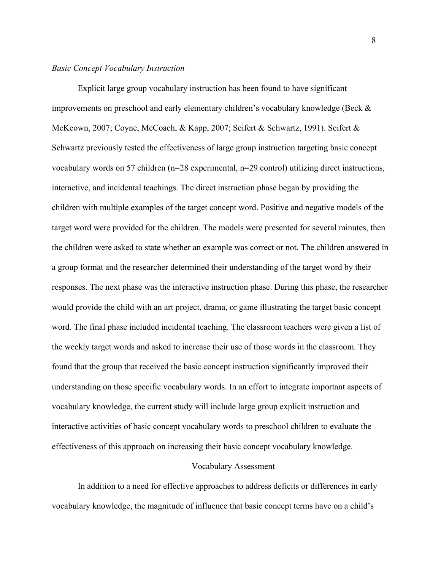## *Basic Concept Vocabulary Instruction*

Explicit large group vocabulary instruction has been found to have significant improvements on preschool and early elementary children's vocabulary knowledge (Beck & McKeown, 2007; Coyne, McCoach, & Kapp, 2007; Seifert & Schwartz, 1991). Seifert & Schwartz previously tested the effectiveness of large group instruction targeting basic concept vocabulary words on 57 children (n=28 experimental, n=29 control) utilizing direct instructions, interactive, and incidental teachings. The direct instruction phase began by providing the children with multiple examples of the target concept word. Positive and negative models of the target word were provided for the children. The models were presented for several minutes, then the children were asked to state whether an example was correct or not. The children answered in a group format and the researcher determined their understanding of the target word by their responses. The next phase was the interactive instruction phase. During this phase, the researcher would provide the child with an art project, drama, or game illustrating the target basic concept word. The final phase included incidental teaching. The classroom teachers were given a list of the weekly target words and asked to increase their use of those words in the classroom. They found that the group that received the basic concept instruction significantly improved their understanding on those specific vocabulary words. In an effort to integrate important aspects of vocabulary knowledge, the current study will include large group explicit instruction and interactive activities of basic concept vocabulary words to preschool children to evaluate the effectiveness of this approach on increasing their basic concept vocabulary knowledge.

#### Vocabulary Assessment

In addition to a need for effective approaches to address deficits or differences in early vocabulary knowledge, the magnitude of influence that basic concept terms have on a child's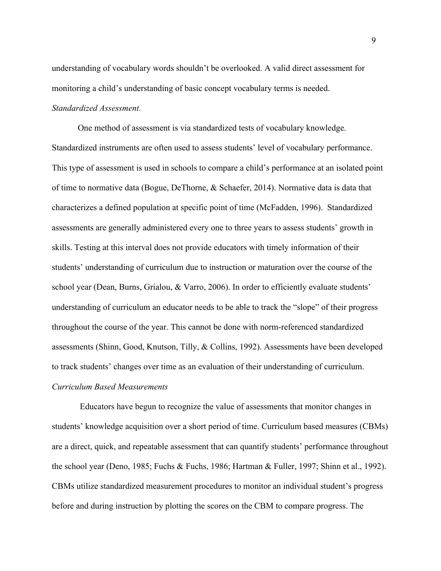understanding of vocabulary words shouldn't be overlooked. A valid direct assessment for monitoring a child's understanding of basic concept vocabulary terms is needed. *Standardized Assessment.*

One method of assessment is via standardized tests of vocabulary knowledge. Standardized instruments are often used to assess students' level of vocabulary performance. This type of assessment is used in schools to compare a child's performance at an isolated point of time to normative data (Bogue, DeThorne, & Schaefer, 2014). Normative data is data that characterizes a defined population at specific point of time (McFadden, 1996). Standardized assessments are generally administered every one to three years to assess students' growth in skills. Testing at this interval does not provide educators with timely information of their students' understanding of curriculum due to instruction or maturation over the course of the school year (Dean, Burns, Grialou, & Varro, 2006). In order to efficiently evaluate students' understanding of curriculum an educator needs to be able to track the "slope" of their progress throughout the course of the year. This cannot be done with norm-referenced standardized assessments (Shinn, Good, Knutson, Tilly, & Collins, 1992). Assessments have been developed to track students' changes over time as an evaluation of their understanding of curriculum. *Curriculum Based Measurements*

Educators have begun to recognize the value of assessments that monitor changes in students' knowledge acquisition over a short period of time. Curriculum based measures (CBMs) are a direct, quick, and repeatable assessment that can quantify students' performance throughout the school year (Deno, 1985; Fuchs & Fuchs, 1986; Hartman & Fuller, 1997; Shinn et al., 1992). CBMs utilize standardized measurement procedures to monitor an individual student's progress before and during instruction by plotting the scores on the CBM to compare progress. The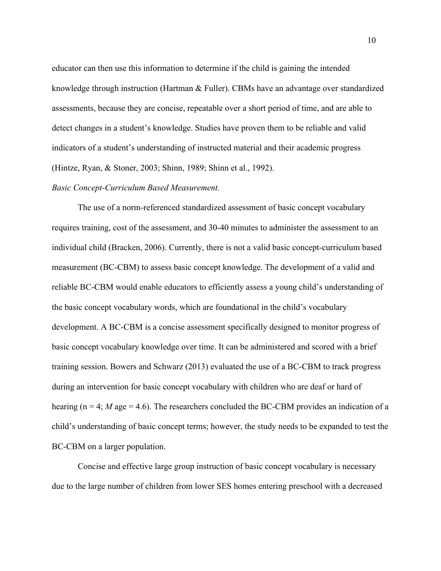educator can then use this information to determine if the child is gaining the intended knowledge through instruction (Hartman & Fuller). CBMs have an advantage over standardized assessments, because they are concise, repeatable over a short period of time, and are able to detect changes in a student's knowledge. Studies have proven them to be reliable and valid indicators of a student's understanding of instructed material and their academic progress (Hintze, Ryan, & Stoner, 2003; Shinn, 1989; Shinn et al., 1992).

### *Basic Concept-Curriculum Based Measurement.*

The use of a norm-referenced standardized assessment of basic concept vocabulary requires training, cost of the assessment, and 30-40 minutes to administer the assessment to an individual child (Bracken, 2006). Currently, there is not a valid basic concept-curriculum based measurement (BC-CBM) to assess basic concept knowledge. The development of a valid and reliable BC-CBM would enable educators to efficiently assess a young child's understanding of the basic concept vocabulary words, which are foundational in the child's vocabulary development. A BC-CBM is a concise assessment specifically designed to monitor progress of basic concept vocabulary knowledge over time. It can be administered and scored with a brief training session. Bowers and Schwarz (2013) evaluated the use of a BC-CBM to track progress during an intervention for basic concept vocabulary with children who are deaf or hard of hearing ( $n = 4$ ; *M* age = 4.6). The researchers concluded the BC-CBM provides an indication of a child's understanding of basic concept terms; however, the study needs to be expanded to test the BC-CBM on a larger population.

Concise and effective large group instruction of basic concept vocabulary is necessary due to the large number of children from lower SES homes entering preschool with a decreased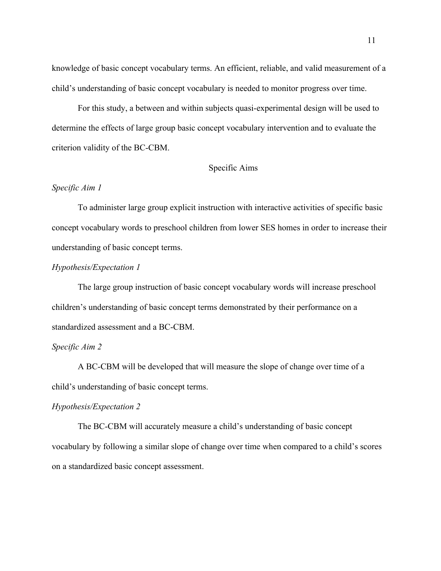knowledge of basic concept vocabulary terms. An efficient, reliable, and valid measurement of a child's understanding of basic concept vocabulary is needed to monitor progress over time.

For this study, a between and within subjects quasi-experimental design will be used to determine the effects of large group basic concept vocabulary intervention and to evaluate the criterion validity of the BC-CBM.

## Specific Aims

## *Specific Aim 1*

To administer large group explicit instruction with interactive activities of specific basic concept vocabulary words to preschool children from lower SES homes in order to increase their understanding of basic concept terms.

## *Hypothesis/Expectation 1*

The large group instruction of basic concept vocabulary words will increase preschool children's understanding of basic concept terms demonstrated by their performance on a standardized assessment and a BC-CBM.

## *Specific Aim 2*

A BC-CBM will be developed that will measure the slope of change over time of a child's understanding of basic concept terms.

## *Hypothesis/Expectation 2*

The BC-CBM will accurately measure a child's understanding of basic concept vocabulary by following a similar slope of change over time when compared to a child's scores on a standardized basic concept assessment.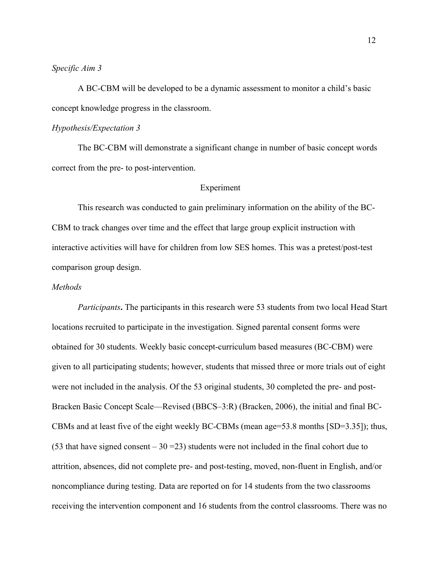## *Specific Aim 3*

A BC-CBM will be developed to be a dynamic assessment to monitor a child's basic concept knowledge progress in the classroom.

#### *Hypothesis/Expectation 3*

The BC-CBM will demonstrate a significant change in number of basic concept words correct from the pre- to post-intervention.

## Experiment

This research was conducted to gain preliminary information on the ability of the BC-CBM to track changes over time and the effect that large group explicit instruction with interactive activities will have for children from low SES homes. This was a pretest/post-test comparison group design.

## *Methods*

*Participants***.** The participants in this research were 53 students from two local Head Start locations recruited to participate in the investigation. Signed parental consent forms were obtained for 30 students. Weekly basic concept-curriculum based measures (BC-CBM) were given to all participating students; however, students that missed three or more trials out of eight were not included in the analysis. Of the 53 original students, 30 completed the pre- and post-Bracken Basic Concept Scale—Revised (BBCS–3:R) (Bracken, 2006), the initial and final BC-CBMs and at least five of the eight weekly BC-CBMs (mean age=53.8 months [SD=3.35]); thus, (53 that have signed consent  $-30 = 23$ ) students were not included in the final cohort due to attrition, absences, did not complete pre- and post-testing, moved, non-fluent in English, and/or noncompliance during testing. Data are reported on for 14 students from the two classrooms receiving the intervention component and 16 students from the control classrooms. There was no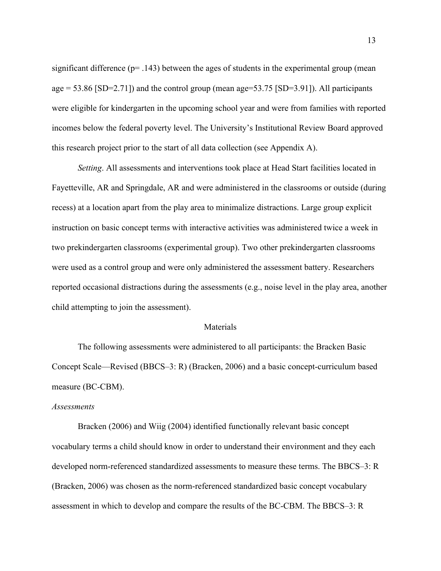significant difference  $(p= .143)$  between the ages of students in the experimental group (mean age = 53.86 [SD=2.71]) and the control group (mean age=53.75 [SD=3.91]). All participants were eligible for kindergarten in the upcoming school year and were from families with reported incomes below the federal poverty level. The University's Institutional Review Board approved this research project prior to the start of all data collection (see Appendix A).

*Setting*. All assessments and interventions took place at Head Start facilities located in Fayetteville, AR and Springdale, AR and were administered in the classrooms or outside (during recess) at a location apart from the play area to minimalize distractions. Large group explicit instruction on basic concept terms with interactive activities was administered twice a week in two prekindergarten classrooms (experimental group). Two other prekindergarten classrooms were used as a control group and were only administered the assessment battery. Researchers reported occasional distractions during the assessments (e.g., noise level in the play area, another child attempting to join the assessment).

#### Materials

The following assessments were administered to all participants: the Bracken Basic Concept Scale—Revised (BBCS–3: R) (Bracken, 2006) and a basic concept-curriculum based measure (BC-CBM).

#### *Assessments*

Bracken (2006) and Wiig (2004) identified functionally relevant basic concept vocabulary terms a child should know in order to understand their environment and they each developed norm-referenced standardized assessments to measure these terms. The BBCS–3: R (Bracken, 2006) was chosen as the norm-referenced standardized basic concept vocabulary assessment in which to develop and compare the results of the BC-CBM. The BBCS–3: R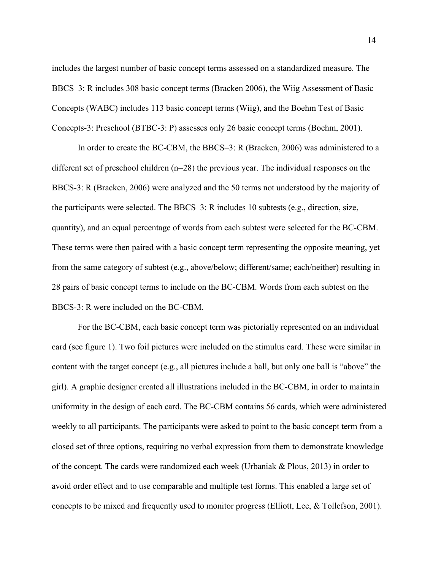includes the largest number of basic concept terms assessed on a standardized measure. The BBCS–3: R includes 308 basic concept terms (Bracken 2006), the Wiig Assessment of Basic Concepts (WABC) includes 113 basic concept terms (Wiig), and the Boehm Test of Basic Concepts-3: Preschool (BTBC-3: P) assesses only 26 basic concept terms (Boehm, 2001).

In order to create the BC-CBM, the BBCS–3: R (Bracken, 2006) was administered to a different set of preschool children (n=28) the previous year. The individual responses on the BBCS-3: R (Bracken, 2006) were analyzed and the 50 terms not understood by the majority of the participants were selected. The BBCS–3: R includes 10 subtests (e.g., direction, size, quantity), and an equal percentage of words from each subtest were selected for the BC-CBM. These terms were then paired with a basic concept term representing the opposite meaning, yet from the same category of subtest (e.g., above/below; different/same; each/neither) resulting in 28 pairs of basic concept terms to include on the BC-CBM. Words from each subtest on the BBCS-3: R were included on the BC-CBM.

For the BC-CBM, each basic concept term was pictorially represented on an individual card (see figure 1). Two foil pictures were included on the stimulus card. These were similar in content with the target concept (e.g., all pictures include a ball, but only one ball is "above" the girl). A graphic designer created all illustrations included in the BC-CBM, in order to maintain uniformity in the design of each card. The BC-CBM contains 56 cards, which were administered weekly to all participants. The participants were asked to point to the basic concept term from a closed set of three options, requiring no verbal expression from them to demonstrate knowledge of the concept. The cards were randomized each week (Urbaniak & Plous, 2013) in order to avoid order effect and to use comparable and multiple test forms. This enabled a large set of concepts to be mixed and frequently used to monitor progress (Elliott, Lee, & Tollefson, 2001).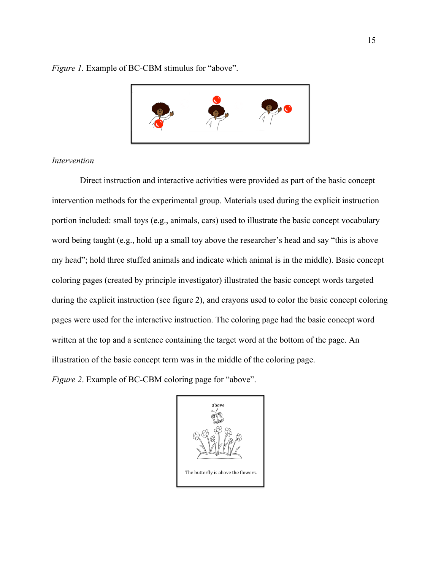*Figure 1.* Example of BC-CBM stimulus for "above".



## *Intervention*

Direct instruction and interactive activities were provided as part of the basic concept intervention methods for the experimental group. Materials used during the explicit instruction portion included: small toys (e.g., animals, cars) used to illustrate the basic concept vocabulary word being taught (e.g., hold up a small toy above the researcher's head and say "this is above my head"; hold three stuffed animals and indicate which animal is in the middle). Basic concept coloring pages (created by principle investigator) illustrated the basic concept words targeted during the explicit instruction (see figure 2), and crayons used to color the basic concept coloring pages were used for the interactive instruction. The coloring page had the basic concept word written at the top and a sentence containing the target word at the bottom of the page. An illustration of the basic concept term was in the middle of the coloring page.

*Figure 2*. Example of BC-CBM coloring page for "above".

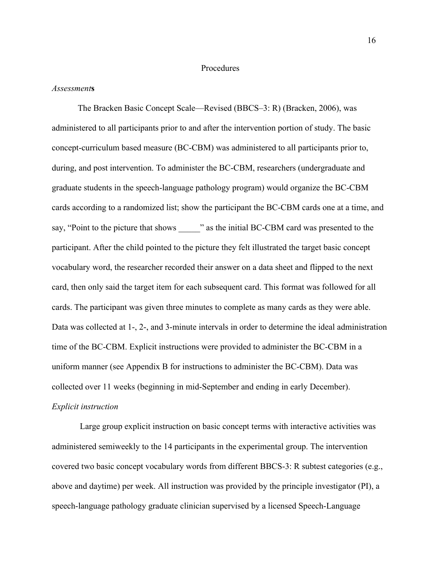#### Procedures

#### *Assessment***s**

The Bracken Basic Concept Scale—Revised (BBCS–3: R) (Bracken, 2006), was administered to all participants prior to and after the intervention portion of study. The basic concept-curriculum based measure (BC-CBM) was administered to all participants prior to, during, and post intervention. To administer the BC-CBM, researchers (undergraduate and graduate students in the speech-language pathology program) would organize the BC-CBM cards according to a randomized list; show the participant the BC-CBM cards one at a time, and say, "Point to the picture that shows \_\_\_\_\_" as the initial BC-CBM card was presented to the participant. After the child pointed to the picture they felt illustrated the target basic concept vocabulary word, the researcher recorded their answer on a data sheet and flipped to the next card, then only said the target item for each subsequent card. This format was followed for all cards. The participant was given three minutes to complete as many cards as they were able. Data was collected at 1-, 2-, and 3-minute intervals in order to determine the ideal administration time of the BC-CBM. Explicit instructions were provided to administer the BC-CBM in a uniform manner (see Appendix B for instructions to administer the BC-CBM). Data was collected over 11 weeks (beginning in mid-September and ending in early December). *Explicit instruction*

Large group explicit instruction on basic concept terms with interactive activities was administered semiweekly to the 14 participants in the experimental group. The intervention covered two basic concept vocabulary words from different BBCS-3: R subtest categories (e.g., above and daytime) per week. All instruction was provided by the principle investigator (PI), a speech-language pathology graduate clinician supervised by a licensed Speech-Language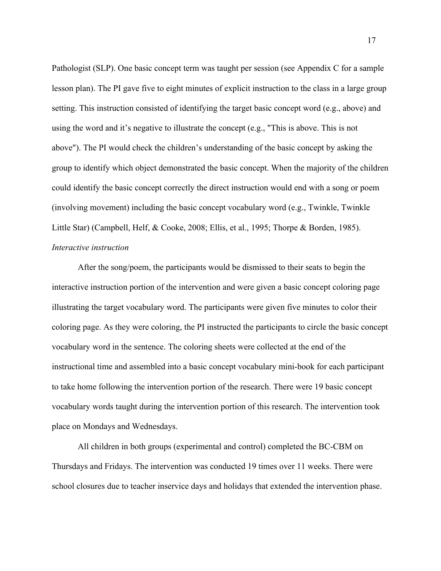Pathologist (SLP). One basic concept term was taught per session (see Appendix C for a sample lesson plan). The PI gave five to eight minutes of explicit instruction to the class in a large group setting. This instruction consisted of identifying the target basic concept word (e.g., above) and using the word and it's negative to illustrate the concept (e.g., "This is above. This is not above"). The PI would check the children's understanding of the basic concept by asking the group to identify which object demonstrated the basic concept. When the majority of the children could identify the basic concept correctly the direct instruction would end with a song or poem (involving movement) including the basic concept vocabulary word (e.g., Twinkle, Twinkle Little Star) (Campbell, Helf, & Cooke, 2008; Ellis, et al., 1995; Thorpe & Borden, 1985). *Interactive instruction*

After the song/poem, the participants would be dismissed to their seats to begin the interactive instruction portion of the intervention and were given a basic concept coloring page illustrating the target vocabulary word. The participants were given five minutes to color their coloring page. As they were coloring, the PI instructed the participants to circle the basic concept vocabulary word in the sentence. The coloring sheets were collected at the end of the instructional time and assembled into a basic concept vocabulary mini-book for each participant to take home following the intervention portion of the research. There were 19 basic concept vocabulary words taught during the intervention portion of this research. The intervention took place on Mondays and Wednesdays.

All children in both groups (experimental and control) completed the BC-CBM on Thursdays and Fridays. The intervention was conducted 19 times over 11 weeks. There were school closures due to teacher inservice days and holidays that extended the intervention phase.

17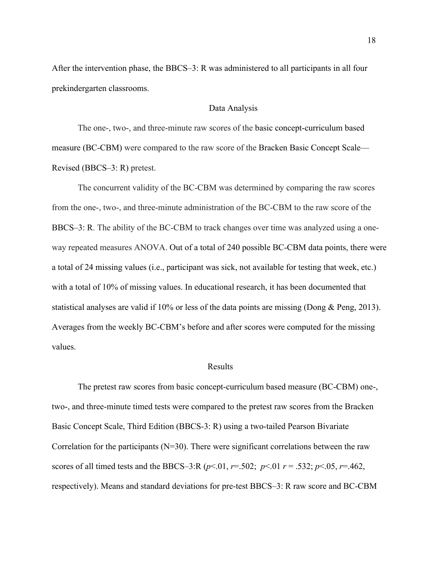After the intervention phase, the BBCS–3: R was administered to all participants in all four prekindergarten classrooms.

### Data Analysis

The one-, two-, and three-minute raw scores of the basic concept-curriculum based measure (BC-CBM) were compared to the raw score of the Bracken Basic Concept Scale— Revised (BBCS–3: R) pretest.

The concurrent validity of the BC-CBM was determined by comparing the raw scores from the one-, two-, and three-minute administration of the BC-CBM to the raw score of the BBCS–3: R. The ability of the BC-CBM to track changes over time was analyzed using a oneway repeated measures ANOVA. Out of a total of 240 possible BC-CBM data points, there were a total of 24 missing values (i.e., participant was sick, not available for testing that week, etc.) with a total of 10% of missing values. In educational research, it has been documented that statistical analyses are valid if 10% or less of the data points are missing (Dong & Peng, 2013). Averages from the weekly BC-CBM's before and after scores were computed for the missing values.

## Results

The pretest raw scores from basic concept-curriculum based measure (BC-CBM) one-, two-, and three-minute timed tests were compared to the pretest raw scores from the Bracken Basic Concept Scale, Third Edition (BBCS-3: R) using a two-tailed Pearson Bivariate Correlation for the participants  $(N=30)$ . There were significant correlations between the raw scores of all timed tests and the BBCS–3:R ( $p$ <.01,  $r$ =.502;  $p$ <.01  $r$  = .532;  $p$ <.05,  $r$ =.462, respectively). Means and standard deviations for pre-test BBCS–3: R raw score and BC-CBM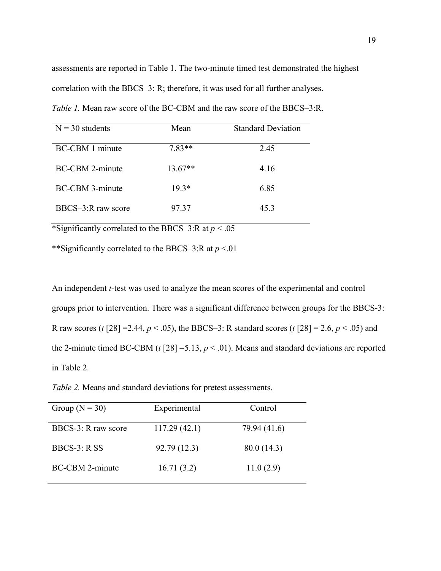assessments are reported in Table 1. The two-minute timed test demonstrated the highest correlation with the BBCS–3: R; therefore, it was used for all further analyses.

| $N = 30$ students      | Mean      | <b>Standard Deviation</b> |
|------------------------|-----------|---------------------------|
| <b>BC-CBM</b> 1 minute | $7.83**$  | 2.45                      |
| <b>BC-CBM 2-minute</b> | $13.67**$ | 4.16                      |
| <b>BC-CBM 3-minute</b> | $19.3*$   | 6.85                      |
| $BBCS-3$ R raw score   | 97 37     | 45.3                      |

*Table 1.* Mean raw score of the BC-CBM and the raw score of the BBCS–3:R.

\*Significantly correlated to the BBCS–3:R at  $p < .05$ 

\*\*Significantly correlated to the BBCS–3:R at *p* <.01

An independent *t*-test was used to analyze the mean scores of the experimental and control groups prior to intervention. There was a significant difference between groups for the BBCS-3: R raw scores (*t* [28] = 2.44,  $p < .05$ ), the BBCS–3: R standard scores (*t* [28] = 2.6,  $p < .05$ ) and the 2-minute timed BC-CBM ( $t$  [28] = 5.13,  $p < .01$ ). Means and standard deviations are reported in Table 2.

*Table 2.* Means and standard deviations for pretest assessments.

| Group ( $N = 30$ )     | Experimental | Control      |
|------------------------|--------------|--------------|
| BBCS-3: R raw score    | 117.29(42.1) | 79.94 (41.6) |
| BBCS-3: R SS           | 92.79 (12.3) | 80.0 (14.3)  |
| <b>BC-CBM 2-minute</b> | 16.71(3.2)   | 11.0(2.9)    |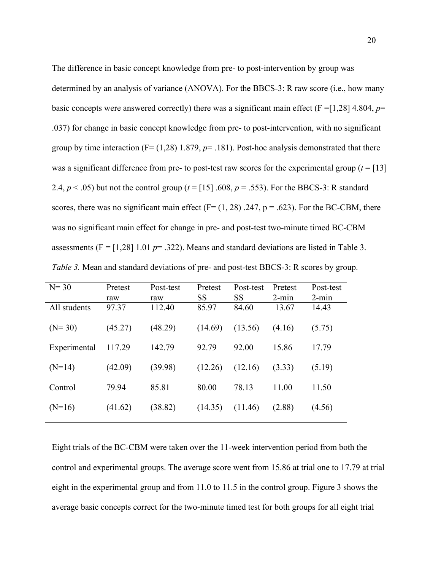The difference in basic concept knowledge from pre- to post-intervention by group was determined by an analysis of variance (ANOVA). For the BBCS-3: R raw score (i.e., how many basic concepts were answered correctly) there was a significant main effect ( $F = [1,28]$  4.804,  $p=$ .037) for change in basic concept knowledge from pre- to post-intervention, with no significant group by time interaction  $(F=(1,28) 1.879, p=.181)$ . Post-hoc analysis demonstrated that there was a significant difference from pre- to post-test raw scores for the experimental group  $(t = [13])$ 2.4,  $p < .05$ ) but not the control group ( $t = [15] .608$ ,  $p = .553$ ). For the BBCS-3: R standard scores, there was no significant main effect ( $F = (1, 28)$ ). 247, p = .623). For the BC-CBM, there was no significant main effect for change in pre- and post-test two-minute timed BC-CBM assessments  $(F = [1,28] 1.01 p = .322)$ . Means and standard deviations are listed in Table 3. *Table 3.* Mean and standard deviations of pre- and post-test BBCS-3: R scores by group.

| $N = 30$     | Pretest<br>raw | Post-test<br>raw | Pretest<br>SS | Post-test<br><b>SS</b> | Pretest<br>$2$ -min | Post-test<br>$2$ -min |
|--------------|----------------|------------------|---------------|------------------------|---------------------|-----------------------|
| All students | 97.37          | 112.40           | 85.97         | 84.60                  | 13.67               | 14.43                 |
| $(N=30)$     | (45.27)        | (48.29)          | (14.69)       | (13.56)                | (4.16)              | (5.75)                |
| Experimental | 117.29         | 142.79           | 92.79         | 92.00                  | 15.86               | 17.79                 |
| $(N=14)$     | (42.09)        | (39.98)          | (12.26)       | (12.16)                | (3.33)              | (5.19)                |
| Control      | 79.94          | 85.81            | 80.00         | 78.13                  | 11.00               | 11.50                 |
| $(N=16)$     | (41.62)        | (38.82)          | (14.35)       | (11.46)                | (2.88)              | (4.56)                |

Eight trials of the BC-CBM were taken over the 11-week intervention period from both the control and experimental groups. The average score went from 15.86 at trial one to 17.79 at trial eight in the experimental group and from 11.0 to 11.5 in the control group. Figure 3 shows the average basic concepts correct for the two-minute timed test for both groups for all eight trial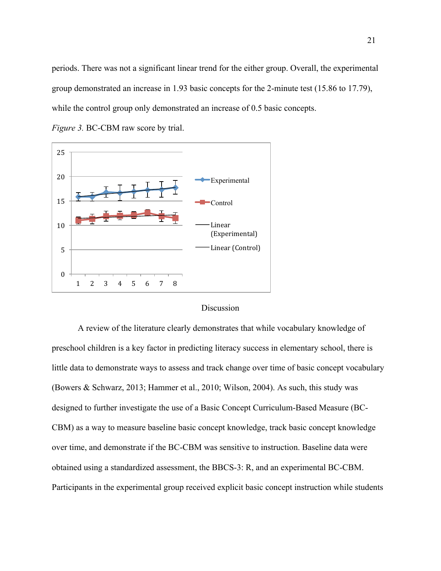periods. There was not a significant linear trend for the either group. Overall, the experimental group demonstrated an increase in 1.93 basic concepts for the 2-minute test (15.86 to 17.79), while the control group only demonstrated an increase of 0.5 basic concepts.



*Figure 3.* BC-CBM raw score by trial.

#### **Discussion**

A review of the literature clearly demonstrates that while vocabulary knowledge of preschool children is a key factor in predicting literacy success in elementary school, there is little data to demonstrate ways to assess and track change over time of basic concept vocabulary (Bowers & Schwarz, 2013; Hammer et al., 2010; Wilson, 2004). As such, this study was designed to further investigate the use of a Basic Concept Curriculum-Based Measure (BC-CBM) as a way to measure baseline basic concept knowledge, track basic concept knowledge over time, and demonstrate if the BC-CBM was sensitive to instruction. Baseline data were obtained using a standardized assessment, the BBCS-3: R, and an experimental BC-CBM. Participants in the experimental group received explicit basic concept instruction while students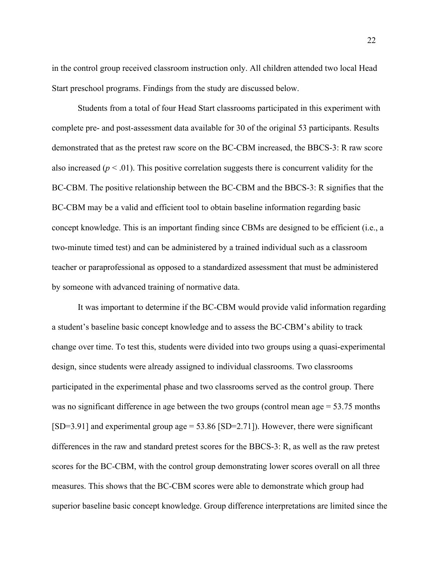in the control group received classroom instruction only. All children attended two local Head Start preschool programs. Findings from the study are discussed below.

Students from a total of four Head Start classrooms participated in this experiment with complete pre- and post-assessment data available for 30 of the original 53 participants. Results demonstrated that as the pretest raw score on the BC-CBM increased, the BBCS-3: R raw score also increased ( $p < .01$ ). This positive correlation suggests there is concurrent validity for the BC-CBM. The positive relationship between the BC-CBM and the BBCS-3: R signifies that the BC-CBM may be a valid and efficient tool to obtain baseline information regarding basic concept knowledge. This is an important finding since CBMs are designed to be efficient (i.e., a two-minute timed test) and can be administered by a trained individual such as a classroom teacher or paraprofessional as opposed to a standardized assessment that must be administered by someone with advanced training of normative data.

It was important to determine if the BC-CBM would provide valid information regarding a student's baseline basic concept knowledge and to assess the BC-CBM's ability to track change over time. To test this, students were divided into two groups using a quasi-experimental design, since students were already assigned to individual classrooms. Two classrooms participated in the experimental phase and two classrooms served as the control group. There was no significant difference in age between the two groups (control mean age = 53.75 months  $[SD=3.91]$  and experimental group age = 53.86  $[SD=2.71]$ ). However, there were significant differences in the raw and standard pretest scores for the BBCS-3: R, as well as the raw pretest scores for the BC-CBM, with the control group demonstrating lower scores overall on all three measures. This shows that the BC-CBM scores were able to demonstrate which group had superior baseline basic concept knowledge. Group difference interpretations are limited since the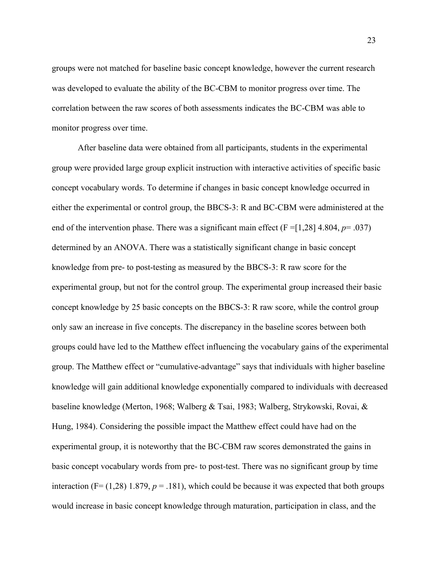groups were not matched for baseline basic concept knowledge, however the current research was developed to evaluate the ability of the BC-CBM to monitor progress over time. The correlation between the raw scores of both assessments indicates the BC-CBM was able to monitor progress over time.

After baseline data were obtained from all participants, students in the experimental group were provided large group explicit instruction with interactive activities of specific basic concept vocabulary words. To determine if changes in basic concept knowledge occurred in either the experimental or control group, the BBCS-3: R and BC-CBM were administered at the end of the intervention phase. There was a significant main effect  $(F = [1,28]$  4.804,  $p = .037$ ) determined by an ANOVA. There was a statistically significant change in basic concept knowledge from pre- to post-testing as measured by the BBCS-3: R raw score for the experimental group, but not for the control group. The experimental group increased their basic concept knowledge by 25 basic concepts on the BBCS-3: R raw score, while the control group only saw an increase in five concepts. The discrepancy in the baseline scores between both groups could have led to the Matthew effect influencing the vocabulary gains of the experimental group. The Matthew effect or "cumulative-advantage" says that individuals with higher baseline knowledge will gain additional knowledge exponentially compared to individuals with decreased baseline knowledge (Merton, 1968; Walberg & Tsai, 1983; Walberg, Strykowski, Rovai, & Hung, 1984). Considering the possible impact the Matthew effect could have had on the experimental group, it is noteworthy that the BC-CBM raw scores demonstrated the gains in basic concept vocabulary words from pre- to post-test. There was no significant group by time interaction ( $F = (1,28)$ ) 1.879,  $p = 0.181$ ), which could be because it was expected that both groups would increase in basic concept knowledge through maturation, participation in class, and the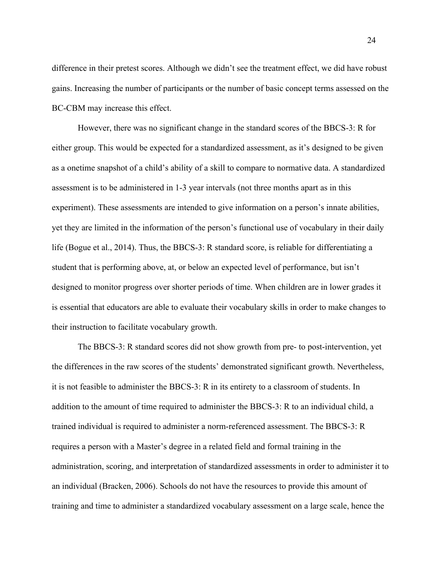difference in their pretest scores. Although we didn't see the treatment effect, we did have robust gains. Increasing the number of participants or the number of basic concept terms assessed on the BC-CBM may increase this effect.

However, there was no significant change in the standard scores of the BBCS-3: R for either group. This would be expected for a standardized assessment, as it's designed to be given as a onetime snapshot of a child's ability of a skill to compare to normative data. A standardized assessment is to be administered in 1-3 year intervals (not three months apart as in this experiment). These assessments are intended to give information on a person's innate abilities, yet they are limited in the information of the person's functional use of vocabulary in their daily life (Bogue et al., 2014). Thus, the BBCS-3: R standard score, is reliable for differentiating a student that is performing above, at, or below an expected level of performance, but isn't designed to monitor progress over shorter periods of time. When children are in lower grades it is essential that educators are able to evaluate their vocabulary skills in order to make changes to their instruction to facilitate vocabulary growth.

The BBCS-3: R standard scores did not show growth from pre- to post-intervention, yet the differences in the raw scores of the students' demonstrated significant growth. Nevertheless, it is not feasible to administer the BBCS-3: R in its entirety to a classroom of students. In addition to the amount of time required to administer the BBCS-3: R to an individual child, a trained individual is required to administer a norm-referenced assessment. The BBCS-3: R requires a person with a Master's degree in a related field and formal training in the administration, scoring, and interpretation of standardized assessments in order to administer it to an individual (Bracken, 2006). Schools do not have the resources to provide this amount of training and time to administer a standardized vocabulary assessment on a large scale, hence the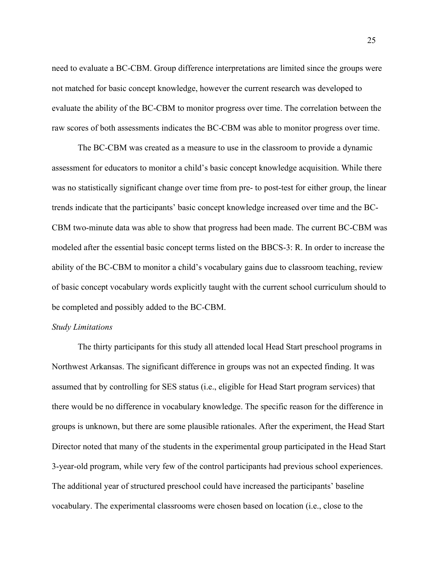need to evaluate a BC-CBM. Group difference interpretations are limited since the groups were not matched for basic concept knowledge, however the current research was developed to evaluate the ability of the BC-CBM to monitor progress over time. The correlation between the raw scores of both assessments indicates the BC-CBM was able to monitor progress over time.

The BC-CBM was created as a measure to use in the classroom to provide a dynamic assessment for educators to monitor a child's basic concept knowledge acquisition. While there was no statistically significant change over time from pre- to post-test for either group, the linear trends indicate that the participants' basic concept knowledge increased over time and the BC-CBM two-minute data was able to show that progress had been made. The current BC-CBM was modeled after the essential basic concept terms listed on the BBCS-3: R. In order to increase the ability of the BC-CBM to monitor a child's vocabulary gains due to classroom teaching, review of basic concept vocabulary words explicitly taught with the current school curriculum should to be completed and possibly added to the BC-CBM.

#### *Study Limitations*

The thirty participants for this study all attended local Head Start preschool programs in Northwest Arkansas. The significant difference in groups was not an expected finding. It was assumed that by controlling for SES status (i.e., eligible for Head Start program services) that there would be no difference in vocabulary knowledge. The specific reason for the difference in groups is unknown, but there are some plausible rationales. After the experiment, the Head Start Director noted that many of the students in the experimental group participated in the Head Start 3-year-old program, while very few of the control participants had previous school experiences. The additional year of structured preschool could have increased the participants' baseline vocabulary. The experimental classrooms were chosen based on location (i.e., close to the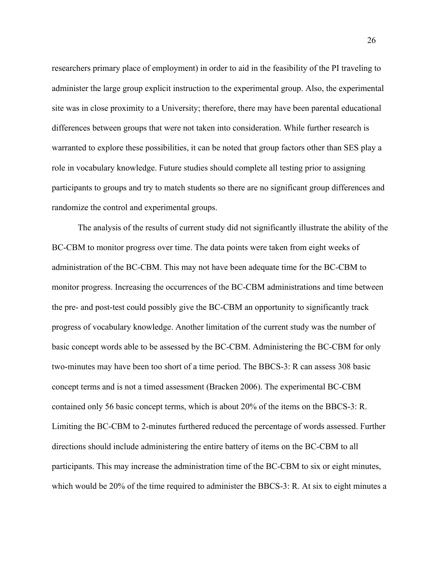researchers primary place of employment) in order to aid in the feasibility of the PI traveling to administer the large group explicit instruction to the experimental group. Also, the experimental site was in close proximity to a University; therefore, there may have been parental educational differences between groups that were not taken into consideration. While further research is warranted to explore these possibilities, it can be noted that group factors other than SES play a role in vocabulary knowledge. Future studies should complete all testing prior to assigning participants to groups and try to match students so there are no significant group differences and randomize the control and experimental groups.

The analysis of the results of current study did not significantly illustrate the ability of the BC-CBM to monitor progress over time. The data points were taken from eight weeks of administration of the BC-CBM. This may not have been adequate time for the BC-CBM to monitor progress. Increasing the occurrences of the BC-CBM administrations and time between the pre- and post-test could possibly give the BC-CBM an opportunity to significantly track progress of vocabulary knowledge. Another limitation of the current study was the number of basic concept words able to be assessed by the BC-CBM. Administering the BC-CBM for only two-minutes may have been too short of a time period. The BBCS-3: R can assess 308 basic concept terms and is not a timed assessment (Bracken 2006). The experimental BC-CBM contained only 56 basic concept terms, which is about 20% of the items on the BBCS-3: R. Limiting the BC-CBM to 2-minutes furthered reduced the percentage of words assessed. Further directions should include administering the entire battery of items on the BC-CBM to all participants. This may increase the administration time of the BC-CBM to six or eight minutes, which would be 20% of the time required to administer the BBCS-3: R. At six to eight minutes a

26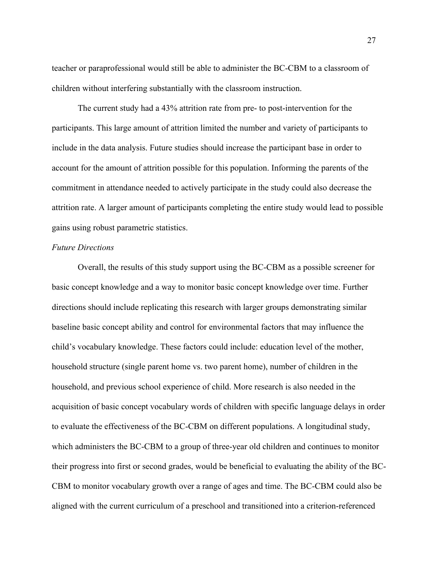teacher or paraprofessional would still be able to administer the BC-CBM to a classroom of children without interfering substantially with the classroom instruction.

The current study had a 43% attrition rate from pre- to post-intervention for the participants. This large amount of attrition limited the number and variety of participants to include in the data analysis. Future studies should increase the participant base in order to account for the amount of attrition possible for this population. Informing the parents of the commitment in attendance needed to actively participate in the study could also decrease the attrition rate. A larger amount of participants completing the entire study would lead to possible gains using robust parametric statistics.

## *Future Directions*

Overall, the results of this study support using the BC-CBM as a possible screener for basic concept knowledge and a way to monitor basic concept knowledge over time. Further directions should include replicating this research with larger groups demonstrating similar baseline basic concept ability and control for environmental factors that may influence the child's vocabulary knowledge. These factors could include: education level of the mother, household structure (single parent home vs. two parent home), number of children in the household, and previous school experience of child. More research is also needed in the acquisition of basic concept vocabulary words of children with specific language delays in order to evaluate the effectiveness of the BC-CBM on different populations. A longitudinal study, which administers the BC-CBM to a group of three-year old children and continues to monitor their progress into first or second grades, would be beneficial to evaluating the ability of the BC-CBM to monitor vocabulary growth over a range of ages and time. The BC-CBM could also be aligned with the current curriculum of a preschool and transitioned into a criterion-referenced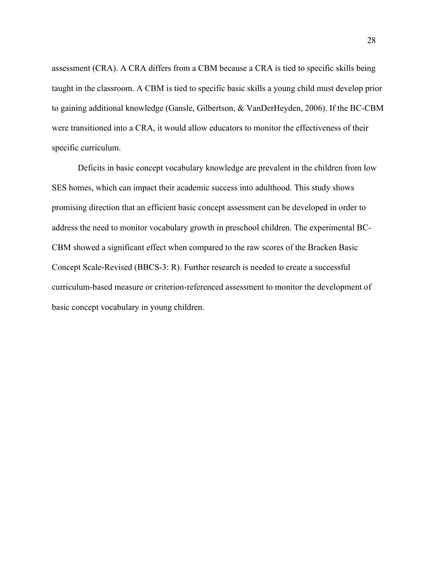assessment (CRA). A CRA differs from a CBM because a CRA is tied to specific skills being taught in the classroom. A CBM is tied to specific basic skills a young child must develop prior to gaining additional knowledge (Gansle, Gilbertson, & VanDerHeyden, 2006). If the BC-CBM were transitioned into a CRA, it would allow educators to monitor the effectiveness of their specific curriculum.

Deficits in basic concept vocabulary knowledge are prevalent in the children from low SES homes, which can impact their academic success into adulthood. This study shows promising direction that an efficient basic concept assessment can be developed in order to address the need to monitor vocabulary growth in preschool children. The experimental BC-CBM showed a significant effect when compared to the raw scores of the Bracken Basic Concept Scale-Revised (BBCS-3: R). Further research is needed to create a successful curriculum-based measure or criterion-referenced assessment to monitor the development of basic concept vocabulary in young children.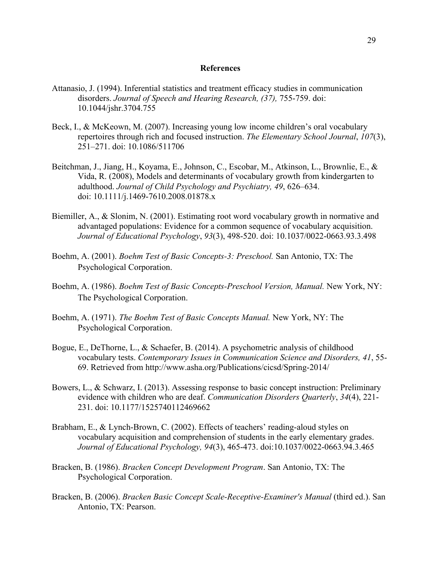#### **References**

- Attanasio, J. (1994). Inferential statistics and treatment efficacy studies in communication disorders. *Journal of Speech and Hearing Research, (37),* 755-759. doi: 10.1044/jshr.3704.755
- Beck, I., & McKeown, M. (2007). Increasing young low income children's oral vocabulary repertoires through rich and focused instruction. *The Elementary School Journal*, *107*(3), 251–271. doi: 10.1086/511706
- Beitchman, J., Jiang, H., Koyama, E., Johnson, C., Escobar, M., Atkinson, L., Brownlie, E., & Vida, R. (2008), Models and determinants of vocabulary growth from kindergarten to adulthood. *Journal of Child Psychology and Psychiatry, 49*, 626–634. doi: 10.1111/j.1469-7610.2008.01878.x
- Biemiller, A., & Slonim, N. (2001). Estimating root word vocabulary growth in normative and advantaged populations: Evidence for a common sequence of vocabulary acquisition. *Journal of Educational Psychology*, *93*(3), 498-520. doi: 10.1037/0022-0663.93.3.498
- Boehm, A. (2001). *Boehm Test of Basic Concepts-3: Preschool.* San Antonio, TX: The Psychological Corporation.
- Boehm, A. (1986). *Boehm Test of Basic Concepts-Preschool Version, Manual.* New York, NY: The Psychological Corporation.
- Boehm, A. (1971). *The Boehm Test of Basic Concepts Manual.* New York, NY: The Psychological Corporation.
- Bogue, E., DeThorne, L., & Schaefer, B. (2014). A psychometric analysis of childhood vocabulary tests. *Contemporary Issues in Communication Science and Disorders, 41*, 55- 69. Retrieved from http://www.asha.org/Publications/cicsd/Spring-2014/
- Bowers, L., & Schwarz, I. (2013). Assessing response to basic concept instruction: Preliminary evidence with children who are deaf. *Communication Disorders Quarterly*, *34*(4), 221- 231. doi: 10.1177/1525740112469662
- Brabham, E., & Lynch-Brown, C. (2002). Effects of teachers' reading-aloud styles on vocabulary acquisition and comprehension of students in the early elementary grades. *Journal of Educational Psychology, 94*(3), 465-473. doi:10.1037/0022-0663.94.3.465
- Bracken, B. (1986). *Bracken Concept Development Program*. San Antonio, TX: The Psychological Corporation.
- Bracken, B. (2006). *Bracken Basic Concept Scale-Receptive-Examiner's Manual* (third ed.). San Antonio, TX: Pearson.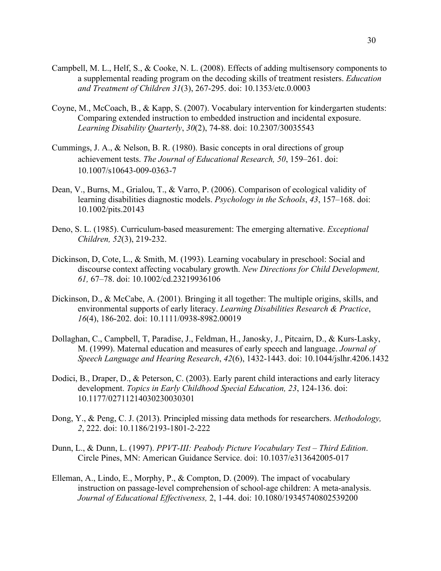- Campbell, M. L., Helf, S., & Cooke, N. L. (2008). Effects of adding multisensory components to a supplemental reading program on the decoding skills of treatment resisters. *Education and Treatment of Children 31*(3), 267-295. doi: 10.1353/etc.0.0003
- Coyne, M., McCoach, B., & Kapp, S. (2007). Vocabulary intervention for kindergarten students: Comparing extended instruction to embedded instruction and incidental exposure. *Learning Disability Quarterly*, *30*(2), 74-88. doi: 10.2307/30035543
- Cummings, J. A., & Nelson, B. R. (1980). Basic concepts in oral directions of group achievement tests. *The Journal of Educational Research, 50*, 159–261. doi: 10.1007/s10643-009-0363-7
- Dean, V., Burns, M., Grialou, T., & Varro, P. (2006). Comparison of ecological validity of learning disabilities diagnostic models. *Psychology in the Schools*, *43*, 157–168. doi: 10.1002/pits.20143
- Deno, S. L. (1985). Curriculum-based measurement: The emerging alternative. *Exceptional Children, 52*(3), 219-232.
- Dickinson, D, Cote, L., & Smith, M. (1993). Learning vocabulary in preschool: Social and discourse context affecting vocabulary growth. *New Directions for Child Development, 61,* 67–78. doi: 10.1002/cd.23219936106
- Dickinson, D., & McCabe, A. (2001). Bringing it all together: The multiple origins, skills, and environmental supports of early literacy. *Learning Disabilities Research & Practice*, *16*(4), 186-202. doi: 10.1111/0938-8982.00019
- Dollaghan, C., Campbell, T, Paradise, J., Feldman, H., Janosky, J., Pitcairn, D., & Kurs-Lasky, M. (1999). Maternal education and measures of early speech and language. *Journal of Speech Language and Hearing Research*, *42*(6), 1432-1443. doi: 10.1044/jslhr.4206.1432
- Dodici, B., Draper, D., & Peterson, C. (2003). Early parent child interactions and early literacy development. *Topics in Early Childhood Special Education, 23*, 124-136. doi: 10.1177/02711214030230030301
- Dong, Y., & Peng, C. J. (2013). Principled missing data methods for researchers. *Methodology, 2*, 222. doi: 10.1186/2193-1801-2-222
- Dunn, L., & Dunn, L. (1997). *PPVT-III: Peabody Picture Vocabulary Test – Third Edition*. Circle Pines, MN: American Guidance Service. doi: 10.1037/e313642005-017
- Elleman, A., Lindo, E., Morphy, P., & Compton, D. (2009). The impact of vocabulary instruction on passage-level comprehension of school-age children: A meta-analysis. *Journal of Educational Effectiveness,* 2, 1-44. doi: 10.1080/19345740802539200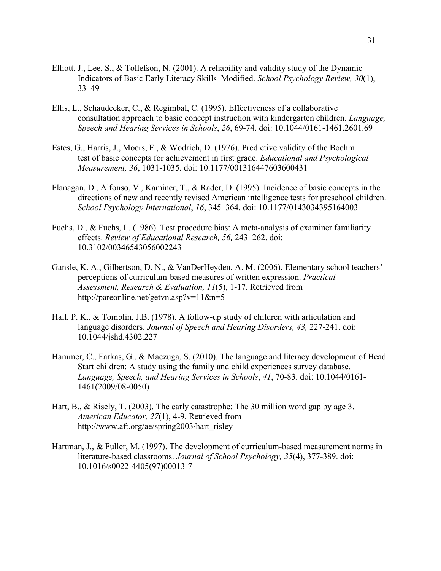- Elliott, J., Lee, S., & Tollefson, N. (2001). A reliability and validity study of the Dynamic Indicators of Basic Early Literacy Skills–Modified. *School Psychology Review, 30*(1), 33–49
- Ellis, L., Schaudecker, C., & Regimbal, C. (1995). Effectiveness of a collaborative consultation approach to basic concept instruction with kindergarten children. *Language, Speech and Hearing Services in Schools*, *26*, 69-74. doi: 10.1044/0161-1461.2601.69
- Estes, G., Harris, J., Moers, F., & Wodrich, D. (1976). Predictive validity of the Boehm test of basic concepts for achievement in first grade. *Educational and Psychological Measurement, 36*, 1031-1035. doi: 10.1177/001316447603600431
- Flanagan, D., Alfonso, V., Kaminer, T., & Rader, D. (1995). Incidence of basic concepts in the directions of new and recently revised American intelligence tests for preschool children. *School Psychology International*, *16*, 345–364. doi: 10.1177/0143034395164003
- Fuchs, D., & Fuchs, L. (1986). Test procedure bias: A meta-analysis of examiner familiarity effects. *Review of Educational Research, 56,* 243–262. doi: 10.3102/00346543056002243
- Gansle, K. A., Gilbertson, D. N., & VanDerHeyden, A. M. (2006). Elementary school teachers' perceptions of curriculum-based measures of written expression. *Practical Assessment, Research & Evaluation, 11*(5), 1-17. Retrieved from http://pareonline.net/getvn.asp?v=11&n=5
- Hall, P. K., & Tomblin, J.B. (1978). A follow-up study of children with articulation and language disorders. *Journal of Speech and Hearing Disorders, 43,* 227-241. doi: 10.1044/jshd.4302.227
- Hammer, C., Farkas, G., & Maczuga, S. (2010). The language and literacy development of Head Start children: A study using the family and child experiences survey database. *Language, Speech, and Hearing Services in Schools*, *41*, 70-83. doi: 10.1044/0161- 1461(2009/08-0050)
- Hart, B., & Risely, T. (2003). The early catastrophe: The 30 million word gap by age 3. *American Educator, 27*(1), 4-9. Retrieved from http://www.aft.org/ae/spring2003/hart\_risley
- Hartman, J., & Fuller, M. (1997). The development of curriculum-based measurement norms in literature-based classrooms. *Journal of School Psychology, 35*(4), 377-389. doi: 10.1016/s0022-4405(97)00013-7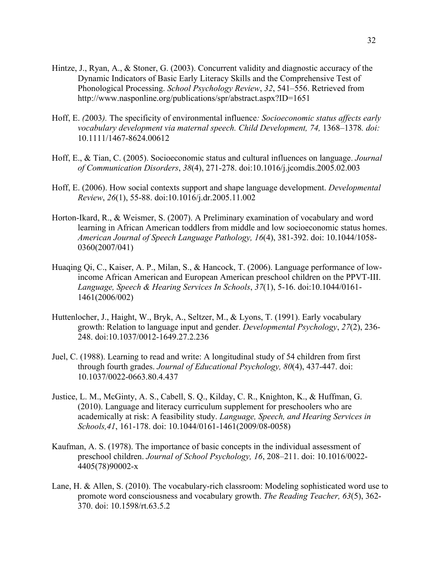- Hintze, J., Ryan, A., & Stoner, G. (2003). Concurrent validity and diagnostic accuracy of the Dynamic Indicators of Basic Early Literacy Skills and the Comprehensive Test of Phonological Processing. *School Psychology Review*, *32*, 541–556. Retrieved from http://www.nasponline.org/publications/spr/abstract.aspx?ID=1651
- Hoff, E. *(*2003*).* The specificity of environmental influence*: Socioeconomic status affects early vocabulary development via maternal speech. Child Development, 74,* 1368*–*1378*. doi:* 10.1111/1467-8624.00612
- Hoff, E., & Tian, C. (2005). Socioeconomic status and cultural influences on language. *Journal of Communication Disorders*, *38*(4), 271-278. doi:10.1016/j.jcomdis.2005.02.003
- Hoff, E. (2006). How social contexts support and shape language development. *Developmental Review*, *26*(1), 55-88. doi:10.1016/j.dr.2005.11.002
- Horton-Ikard, R., & Weismer, S. (2007). A Preliminary examination of vocabulary and word learning in African American toddlers from middle and low socioeconomic status homes. *American Journal of Speech Language Pathology, 16*(4), 381-392. doi: 10.1044/1058- 0360(2007/041)
- Huaqing Qi, C., Kaiser, A. P., Milan, S., & Hancock, T. (2006). Language performance of lowincome African American and European American preschool children on the PPVT-III. *Language, Speech & Hearing Services In Schools*, *37*(1), 5-16. doi:10.1044/0161- 1461(2006/002)
- Huttenlocher, J., Haight, W., Bryk, A., Seltzer, M., & Lyons, T. (1991). Early vocabulary growth: Relation to language input and gender. *Developmental Psychology*, *27*(2), 236- 248. doi:10.1037/0012-1649.27.2.236
- Juel, C. (1988). Learning to read and write: A longitudinal study of 54 children from first through fourth grades. *Journal of Educational Psychology, 80*(4), 437-447. doi: 10.1037/0022-0663.80.4.437
- Justice, L. M., McGinty, A. S., Cabell, S. Q., Kilday, C. R., Knighton, K., & Huffman, G. (2010). Language and literacy curriculum supplement for preschoolers who are academically at risk: A feasibility study. *Language, Speech, and Hearing Services in Schools,41*, 161-178. doi: 10.1044/0161-1461(2009/08-0058)
- Kaufman, A. S. (1978). The importance of basic concepts in the individual assessment of preschool children. *Journal of School Psychology, 16*, 208–211. doi: 10.1016/0022- 4405(78)90002-x
- Lane, H. & Allen, S. (2010). The vocabulary-rich classroom: Modeling sophisticated word use to promote word consciousness and vocabulary growth. *The Reading Teacher, 63*(5), 362- 370. doi: 10.1598/rt.63.5.2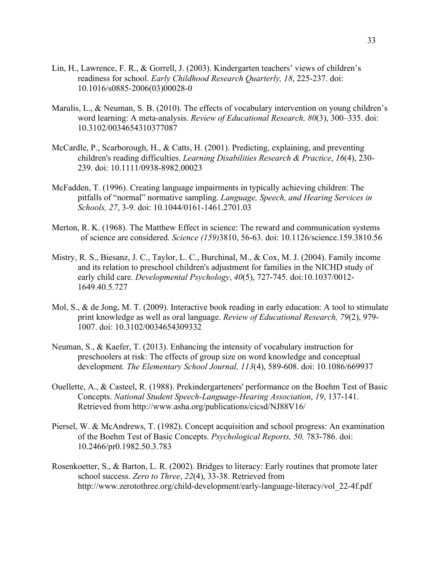- Lin, H., Lawrence, F. R., & Gorrell, J. (2003). Kindergarten teachers' views of children's readiness for school. *Early Childhood Research Quarterly, 18*, 225-237. doi: 10.1016/s0885-2006(03)00028-0
- Marulis, L., & Neuman, S. B. (2010). The effects of vocabulary intervention on young children's word learning: A meta-analysis. *Review of Educational Research, 80*(3), 300–335. doi: 10.3102/0034654310377087
- McCardle, P., Scarborough, H., & Catts, H. (2001). Predicting, explaining, and preventing children's reading difficulties. *Learning Disabilities Research & Practice*, *16*(4), 230- 239. doi: 10.1111/0938-8982.00023
- McFadden, T. (1996). Creating language impairments in typically achieving children: The pitfalls of "normal" normative sampling. *Language, Speech, and Hearing Services in Schools, 27*, 3-9. doi: 10.1044/0161-1461.2701.03
- Merton, R. K. (1968). The Matthew Effect in science: The reward and communication systems of science are considered. *Science (159)*3810, 56-63. doi: 10.1126/science.159.3810.56
- Mistry, R. S., Biesanz, J. C., Taylor, L. C., Burchinal, M., & Cox, M. J. (2004). Family income and its relation to preschool children's adjustment for families in the NICHD study of early child care. *Developmental Psychology*, *40*(5), 727-745. doi:10.1037/0012- 1649.40.5.727
- Mol, S., & de Jong, M. T. (2009). Interactive book reading in early education: A tool to stimulate print knowledge as well as oral language. *Review of Educational Research, 79*(2), 979- 1007. doi: 10.3102/0034654309332
- Neuman, S., & Kaefer, T. (2013). Enhancing the intensity of vocabulary instruction for preschoolers at risk: The effects of group size on word knowledge and conceptual development*. The Elementary School Journal, 113*(4), 589-608. doi: 10.1086/669937
- Ouellette, A., & Casteel, R. (1988). Prekindergarteners' performance on the Boehm Test of Basic Concepts. *National Student Speech-Language-Hearing Association*, *19*, 137-141. Retrieved from http://www.asha.org/publications/cicsd/NJ88V16/
- Piersel, W. & McAndrews, T. (1982). Concept acquisition and school progress: An examination of the Boehm Test of Basic Concepts. *Psychological Reports, 50,* 783-786. doi: 10.2466/pr0.1982.50.3.783
- Rosenkoetter, S., & Barton, L. R. (2002). Bridges to literacy: Early routines that promote later school success. *Zero to Three*, *22*(4), 33-38. Retrieved from http://www.zerotothree.org/child-development/early-language-literacy/vol\_22-4f.pdf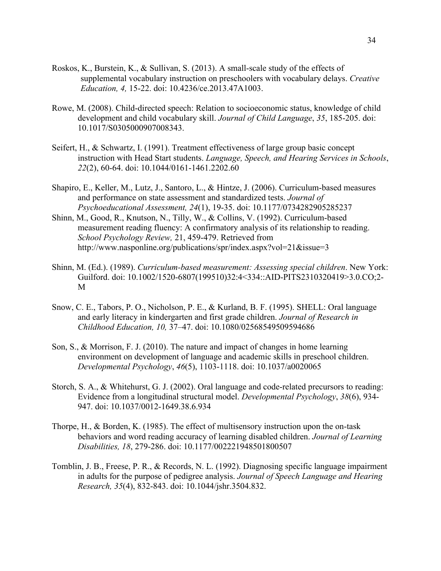- Roskos, K., Burstein, K., & Sullivan, S. (2013). A small-scale study of the effects of supplemental vocabulary instruction on preschoolers with vocabulary delays. *Creative Education, 4,* 15-22. doi: 10.4236/ce.2013.47A1003.
- Rowe, M. (2008). Child-directed speech: Relation to socioeconomic status, knowledge of child development and child vocabulary skill. *Journal of Child Language*, *35*, 185-205. doi: 10.1017/S0305000907008343.
- Seifert, H., & Schwartz, I. (1991). Treatment effectiveness of large group basic concept instruction with Head Start students. *Language, Speech, and Hearing Services in Schools*, *22*(2), 60-64. doi: 10.1044/0161-1461.2202.60
- Shapiro, E., Keller, M., Lutz, J., Santoro, L., & Hintze, J. (2006). Curriculum-based measures and performance on state assessment and standardized tests. *Journal of Psychoeducational Assessment, 24*(1), 19-35. doi: 10.1177/0734282905285237
- Shinn, M., Good, R., Knutson, N., Tilly, W., & Collins, V. (1992). Curriculum-based measurement reading fluency: A confirmatory analysis of its relationship to reading. *School Psychology Review,* 21, 459-479. Retrieved from http://www.nasponline.org/publications/spr/index.aspx?vol=21&issue=3
- Shinn, M. (Ed.). (1989). *Curriculum-based measurement: Assessing special children*. New York: Guilford. doi: 10.1002/1520-6807(199510)32:4<334::AID-PITS2310320419>3.0.CO;2- M
- Snow, C. E., Tabors, P. O., Nicholson, P. E., & Kurland, B. F. (1995). SHELL: Oral language and early literacy in kindergarten and first grade children. *Journal of Research in Childhood Education, 10,* 37–47. doi: 10.1080/02568549509594686
- Son, S., & Morrison, F. J. (2010). The nature and impact of changes in home learning environment on development of language and academic skills in preschool children. *Developmental Psychology*, *46*(5), 1103-1118. doi: 10.1037/a0020065
- Storch, S. A., & Whitehurst, G. J. (2002). Oral language and code-related precursors to reading: Evidence from a longitudinal structural model. *Developmental Psychology*, *38*(6), 934- 947. doi: 10.1037/0012-1649.38.6.934
- Thorpe, H., & Borden, K. (1985). The effect of multisensory instruction upon the on-task behaviors and word reading accuracy of learning disabled children. *Journal of Learning Disabilities, 18*, 279-286. doi: 10.1177/002221948501800507
- Tomblin, J. B., Freese, P. R., & Records, N. L. (1992). Diagnosing specific language impairment in adults for the purpose of pedigree analysis. *Journal of Speech Language and Hearing Research, 35*(4), 832-843. doi: 10.1044/jshr.3504.832.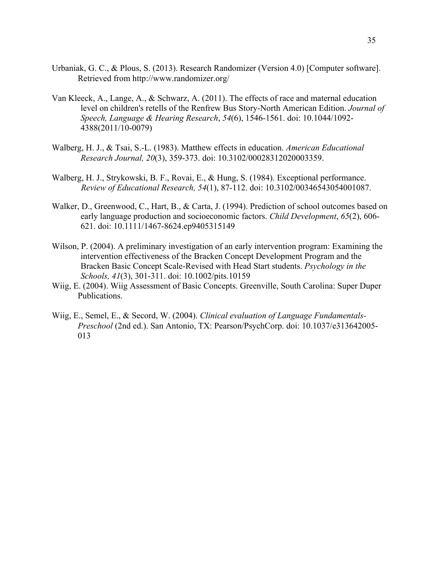- Urbaniak, G. C., & Plous, S. (2013). Research Randomizer (Version 4.0) [Computer software]. Retrieved from http://www.randomizer.org/
- Van Kleeck, A., Lange, A., & Schwarz, A. (2011). The effects of race and maternal education level on children's retells of the Renfrew Bus Story-North American Edition. *Journal of Speech, Language & Hearing Research*, *54*(6), 1546-1561. doi: 10.1044/1092- 4388(2011/10-0079)
- Walberg, H. J., & Tsai, S.-L. (1983). Matthew effects in education. *American Educational Research Journal, 20*(3), 359-373. doi: 10.3102/00028312020003359.
- Walberg, H. J., Strykowski, B. F., Rovai, E., & Hung, S. (1984). Exceptional performance. *Review of Educational Research, 54*(1), 87-112. doi: 10.3102/00346543054001087.
- Walker, D., Greenwood, C., Hart, B., & Carta, J. (1994). Prediction of school outcomes based on early language production and socioeconomic factors. *Child Development*, *65*(2), 606- 621. doi: 10.1111/1467-8624.ep9405315149
- Wilson, P. (2004). A preliminary investigation of an early intervention program: Examining the intervention effectiveness of the Bracken Concept Development Program and the Bracken Basic Concept Scale-Revised with Head Start students. *Psychology in the Schools, 41*(3), 301-311. doi: 10.1002/pits.10159
- Wiig, E. (2004). Wiig Assessment of Basic Concepts. Greenville, South Carolina: Super Duper Publications.
- Wiig, E., Semel, E., & Secord, W. (2004). *Clinical evaluation of Language Fundamentals-Preschool* (2nd ed.). San Antonio, TX: Pearson/PsychCorp. doi: 10.1037/e313642005- 013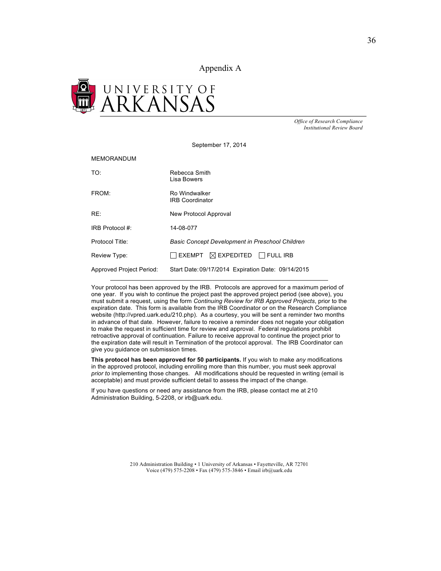Appendix A



*Office of Research Compliance Institutional Review Board*

September 17, 2014

#### MEMORANDUM

| TO:                      | Rebecca Smith<br>Lisa Bowers                           |
|--------------------------|--------------------------------------------------------|
| FROM:                    | Ro Windwalker<br><b>IRB Coordinator</b>                |
| RE:                      | New Protocol Approval                                  |
| IRB Protocol #:          | 14-08-077                                              |
| Protocol Title:          | <b>Basic Concept Development in Preschool Children</b> |
| Review Type:             | $\Box$ exempt $\oslash$ expedited $\Box$ full irb      |
| Approved Project Period: | Start Date: 09/17/2014 Expiration Date: 09/14/2015     |

Your protocol has been approved by the IRB. Protocols are approved for a maximum period of one year. If you wish to continue the project past the approved project period (see above), you must submit a request, using the form *Continuing Review for IRB Approved Projects*, prior to the expiration date. This form is available from the IRB Coordinator or on the Research Compliance website (http://vpred.uark.edu/210.php). As a courtesy, you will be sent a reminder two months in advance of that date. However, failure to receive a reminder does not negate your obligation to make the request in sufficient time for review and approval. Federal regulations prohibit retroactive approval of continuation. Failure to receive approval to continue the project prior to the expiration date will result in Termination of the protocol approval. The IRB Coordinator can give you guidance on submission times.

**This protocol has been approved for 50 participants.** If you wish to make *any* modifications in the approved protocol, including enrolling more than this number, you must seek approval *prior to* implementing those changes. All modifications should be requested in writing (email is acceptable) and must provide sufficient detail to assess the impact of the change.

If you have questions or need any assistance from the IRB, please contact me at 210 Administration Building, 5-2208, or irb@uark.edu.

> 210 Administration Building • 1 University of Arkansas • Fayetteville, AR 72701 Voice (479) 575-2208 • Fax (479) 575-3846 • Email irb@uark.edu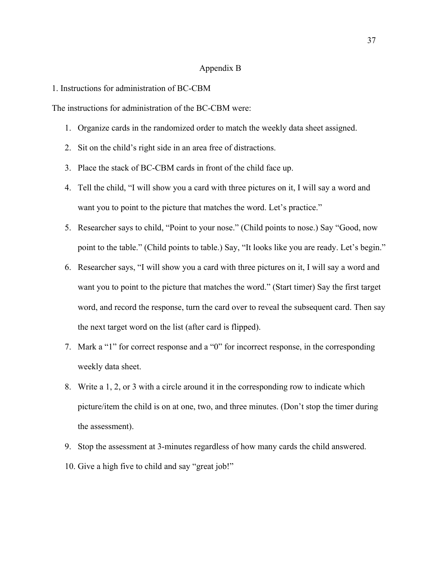#### Appendix B

#### 1. Instructions for administration of BC-CBM

The instructions for administration of the BC-CBM were:

- 1. Organize cards in the randomized order to match the weekly data sheet assigned.
- 2. Sit on the child's right side in an area free of distractions.
- 3. Place the stack of BC-CBM cards in front of the child face up.
- 4. Tell the child, "I will show you a card with three pictures on it, I will say a word and want you to point to the picture that matches the word. Let's practice."
- 5. Researcher says to child, "Point to your nose." (Child points to nose.) Say "Good, now point to the table." (Child points to table.) Say, "It looks like you are ready. Let's begin."
- 6. Researcher says, "I will show you a card with three pictures on it, I will say a word and want you to point to the picture that matches the word." (Start timer) Say the first target word, and record the response, turn the card over to reveal the subsequent card. Then say the next target word on the list (after card is flipped).
- 7. Mark a "1" for correct response and a "0" for incorrect response, in the corresponding weekly data sheet.
- 8. Write a 1, 2, or 3 with a circle around it in the corresponding row to indicate which picture/item the child is on at one, two, and three minutes. (Don't stop the timer during the assessment).
- 9. Stop the assessment at 3-minutes regardless of how many cards the child answered.
- 10. Give a high five to child and say "great job!"